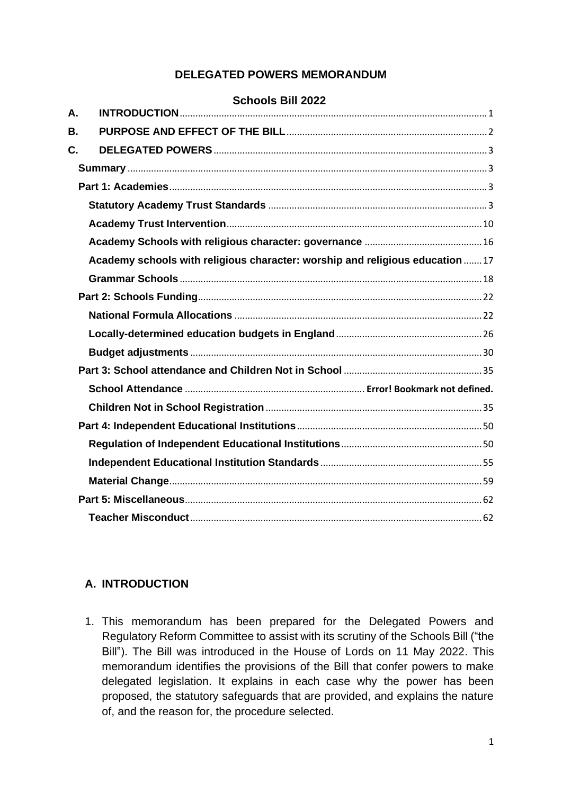# **DELEGATED POWERS MEMORANDUM**

#### **Schools Bill 2022**

| А. |                                                                              |
|----|------------------------------------------------------------------------------|
| В. |                                                                              |
| C. |                                                                              |
|    |                                                                              |
|    |                                                                              |
|    |                                                                              |
|    |                                                                              |
|    |                                                                              |
|    | Academy schools with religious character: worship and religious education 17 |
|    |                                                                              |
|    |                                                                              |
|    |                                                                              |
|    |                                                                              |
|    |                                                                              |
|    |                                                                              |
|    |                                                                              |
|    |                                                                              |
|    |                                                                              |
|    |                                                                              |
|    |                                                                              |
|    |                                                                              |
|    |                                                                              |
|    |                                                                              |
|    |                                                                              |

### <span id="page-0-0"></span>**A. INTRODUCTION**

1. This memorandum has been prepared for the Delegated Powers and Regulatory Reform Committee to assist with its scrutiny of the Schools Bill ("the Bill"). The Bill was introduced in the House of Lords on 11 May 2022. This memorandum identifies the provisions of the Bill that confer powers to make delegated legislation. It explains in each case why the power has been proposed, the statutory safeguards that are provided, and explains the nature of, and the reason for, the procedure selected.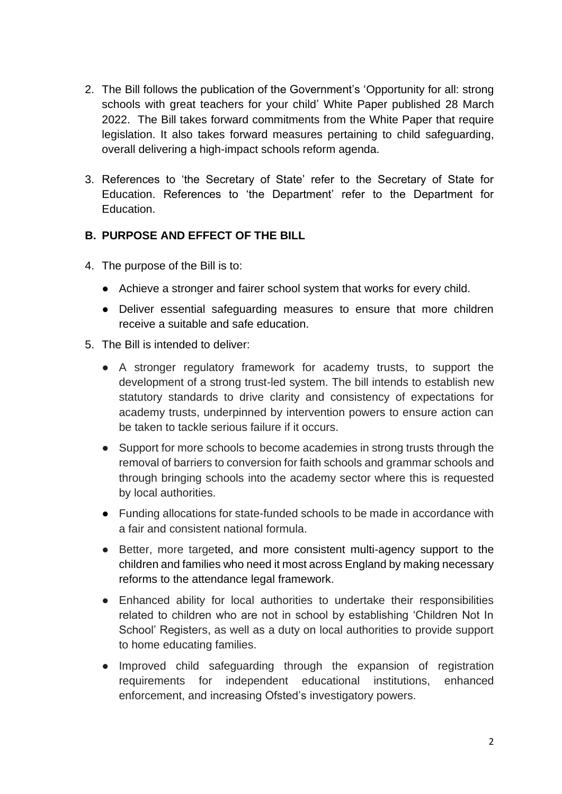- 2. The Bill follows the publication of the Government's 'Opportunity for all: strong schools with great teachers for your child' White Paper published 28 March 2022. The Bill takes forward commitments from the White Paper that require legislation. It also takes forward measures pertaining to child safeguarding, overall delivering a high-impact schools reform agenda.
- 3. References to 'the Secretary of State' refer to the Secretary of State for Education. References to 'the Department' refer to the Department for Education.

### <span id="page-1-0"></span>**B. PURPOSE AND EFFECT OF THE BILL**

- 4. The purpose of the Bill is to:
	- Achieve a stronger and fairer school system that works for every child.
	- Deliver essential safeguarding measures to ensure that more children receive a suitable and safe education.
- 5. The Bill is intended to deliver:
	- A stronger regulatory framework for academy trusts, to support the development of a strong trust-led system. The bill intends to establish new statutory standards to drive clarity and consistency of expectations for academy trusts, underpinned by intervention powers to ensure action can be taken to tackle serious failure if it occurs.
	- Support for more schools to become academies in strong trusts through the removal of barriers to conversion for faith schools and grammar schools and through bringing schools into the academy sector where this is requested by local authorities.
	- Funding allocations for state-funded schools to be made in accordance with a fair and consistent national formula.
	- Better, more targeted, and more consistent multi-agency support to the children and families who need it most across England by making necessary reforms to the attendance legal framework.
	- Enhanced ability for local authorities to undertake their responsibilities related to children who are not in school by establishing 'Children Not In School' Registers, as well as a duty on local authorities to provide support to home educating families.
	- Improved child safeguarding through the expansion of registration requirements for independent educational institutions, enhanced enforcement, and increasing Ofsted's investigatory powers.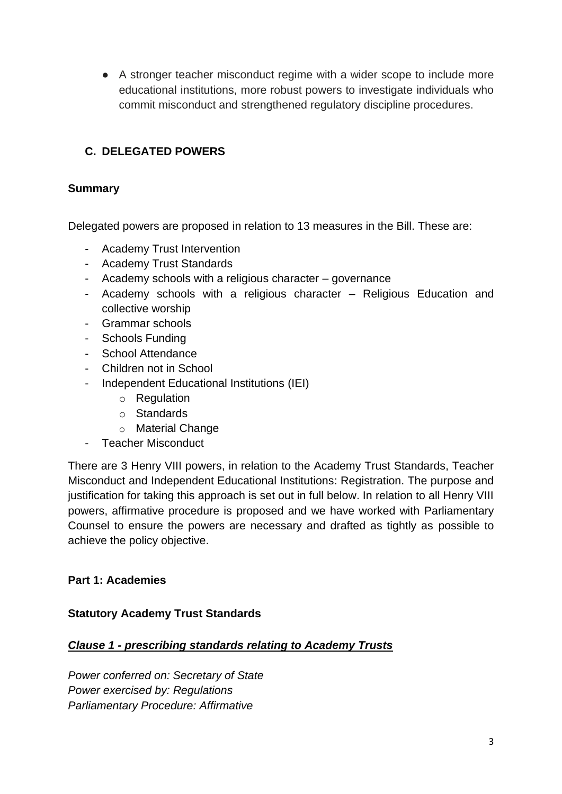● A stronger teacher misconduct regime with a wider scope to include more educational institutions, more robust powers to investigate individuals who commit misconduct and strengthened regulatory discipline procedures.

# <span id="page-2-0"></span>**C. DELEGATED POWERS**

#### <span id="page-2-1"></span>**Summary**

Delegated powers are proposed in relation to 13 measures in the Bill. These are:

- Academy Trust Intervention
- Academy Trust Standards
- Academy schools with a religious character governance
- Academy schools with a religious character Religious Education and collective worship
- Grammar schools
- Schools Funding
- School Attendance
- Children not in School
- Independent Educational Institutions (IEI)
	- o Regulation
	- o Standards
	- o Material Change
- Teacher Misconduct

There are 3 Henry VIII powers, in relation to the Academy Trust Standards, Teacher Misconduct and Independent Educational Institutions: Registration. The purpose and justification for taking this approach is set out in full below. In relation to all Henry VIII powers, affirmative procedure is proposed and we have worked with Parliamentary Counsel to ensure the powers are necessary and drafted as tightly as possible to achieve the policy objective.

### <span id="page-2-2"></span>**Part 1: Academies**

#### <span id="page-2-3"></span>**Statutory Academy Trust Standards**

#### *Clause 1 - prescribing standards relating to Academy Trusts*

*Power conferred on: Secretary of State Power exercised by: Regulations Parliamentary Procedure: Affirmative*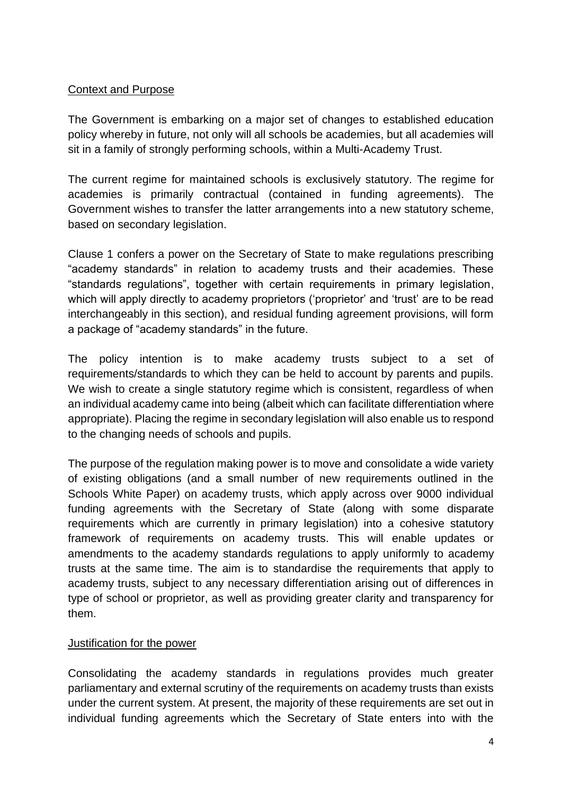### Context and Purpose

The Government is embarking on a major set of changes to established education policy whereby in future, not only will all schools be academies, but all academies will sit in a family of strongly performing schools, within a Multi-Academy Trust.

The current regime for maintained schools is exclusively statutory. The regime for academies is primarily contractual (contained in funding agreements). The Government wishes to transfer the latter arrangements into a new statutory scheme, based on secondary legislation.

Clause 1 confers a power on the Secretary of State to make regulations prescribing "academy standards" in relation to academy trusts and their academies. These "standards regulations", together with certain requirements in primary legislation, which will apply directly to academy proprietors ('proprietor' and 'trust' are to be read interchangeably in this section), and residual funding agreement provisions, will form a package of "academy standards" in the future.

The policy intention is to make academy trusts subject to a set of requirements/standards to which they can be held to account by parents and pupils. We wish to create a single statutory regime which is consistent, regardless of when an individual academy came into being (albeit which can facilitate differentiation where appropriate). Placing the regime in secondary legislation will also enable us to respond to the changing needs of schools and pupils.

The purpose of the regulation making power is to move and consolidate a wide variety of existing obligations (and a small number of new requirements outlined in the Schools White Paper) on academy trusts, which apply across over 9000 individual funding agreements with the Secretary of State (along with some disparate requirements which are currently in primary legislation) into a cohesive statutory framework of requirements on academy trusts. This will enable updates or amendments to the academy standards regulations to apply uniformly to academy trusts at the same time. The aim is to standardise the requirements that apply to academy trusts, subject to any necessary differentiation arising out of differences in type of school or proprietor, as well as providing greater clarity and transparency for them.

#### Justification for the power

Consolidating the academy standards in regulations provides much greater parliamentary and external scrutiny of the requirements on academy trusts than exists under the current system. At present, the majority of these requirements are set out in individual funding agreements which the Secretary of State enters into with the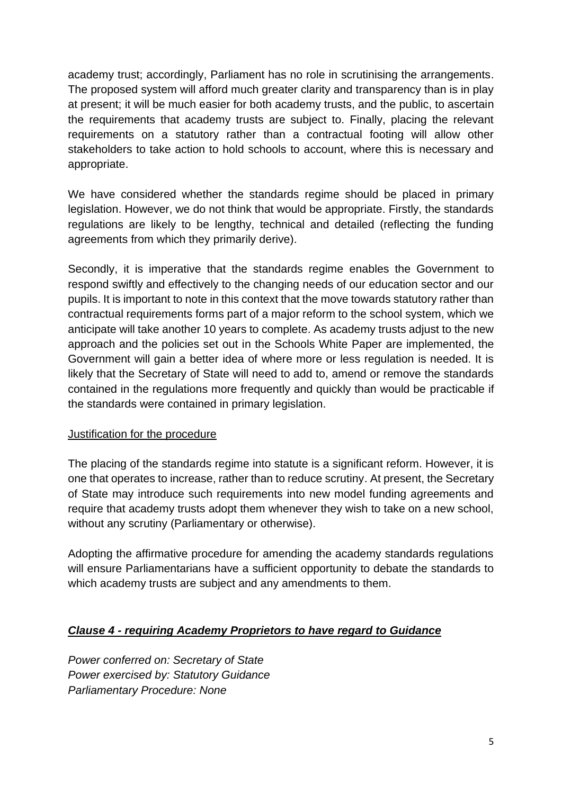academy trust; accordingly, Parliament has no role in scrutinising the arrangements. The proposed system will afford much greater clarity and transparency than is in play at present; it will be much easier for both academy trusts, and the public, to ascertain the requirements that academy trusts are subject to. Finally, placing the relevant requirements on a statutory rather than a contractual footing will allow other stakeholders to take action to hold schools to account, where this is necessary and appropriate.

We have considered whether the standards regime should be placed in primary legislation. However, we do not think that would be appropriate. Firstly, the standards regulations are likely to be lengthy, technical and detailed (reflecting the funding agreements from which they primarily derive).

Secondly, it is imperative that the standards regime enables the Government to respond swiftly and effectively to the changing needs of our education sector and our pupils. It is important to note in this context that the move towards statutory rather than contractual requirements forms part of a major reform to the school system, which we anticipate will take another 10 years to complete. As academy trusts adjust to the new approach and the policies set out in the Schools White Paper are implemented, the Government will gain a better idea of where more or less regulation is needed. It is likely that the Secretary of State will need to add to, amend or remove the standards contained in the regulations more frequently and quickly than would be practicable if the standards were contained in primary legislation.

### Justification for the procedure

The placing of the standards regime into statute is a significant reform. However, it is one that operates to increase, rather than to reduce scrutiny. At present, the Secretary of State may introduce such requirements into new model funding agreements and require that academy trusts adopt them whenever they wish to take on a new school, without any scrutiny (Parliamentary or otherwise).

Adopting the affirmative procedure for amending the academy standards regulations will ensure Parliamentarians have a sufficient opportunity to debate the standards to which academy trusts are subject and any amendments to them.

### *Clause 4 - requiring Academy Proprietors to have regard to Guidance*

*Power conferred on: Secretary of State Power exercised by: Statutory Guidance Parliamentary Procedure: None*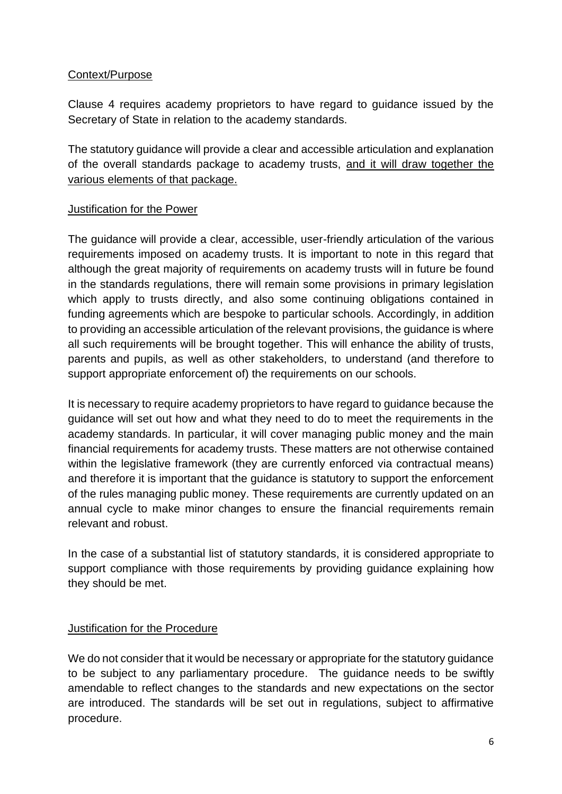### Context/Purpose

Clause 4 requires academy proprietors to have regard to guidance issued by the Secretary of State in relation to the academy standards.

The statutory guidance will provide a clear and accessible articulation and explanation of the overall standards package to academy trusts, and it will draw together the various elements of that package.

### **Justification for the Power**

The guidance will provide a clear, accessible, user-friendly articulation of the various requirements imposed on academy trusts. It is important to note in this regard that although the great majority of requirements on academy trusts will in future be found in the standards regulations, there will remain some provisions in primary legislation which apply to trusts directly, and also some continuing obligations contained in funding agreements which are bespoke to particular schools. Accordingly, in addition to providing an accessible articulation of the relevant provisions, the guidance is where all such requirements will be brought together. This will enhance the ability of trusts, parents and pupils, as well as other stakeholders, to understand (and therefore to support appropriate enforcement of) the requirements on our schools.

It is necessary to require academy proprietors to have regard to guidance because the guidance will set out how and what they need to do to meet the requirements in the academy standards. In particular, it will cover managing public money and the main financial requirements for academy trusts. These matters are not otherwise contained within the legislative framework (they are currently enforced via contractual means) and therefore it is important that the guidance is statutory to support the enforcement of the rules managing public money. These requirements are currently updated on an annual cycle to make minor changes to ensure the financial requirements remain relevant and robust.

In the case of a substantial list of statutory standards, it is considered appropriate to support compliance with those requirements by providing guidance explaining how they should be met.

### Justification for the Procedure

We do not consider that it would be necessary or appropriate for the statutory guidance to be subject to any parliamentary procedure. The guidance needs to be swiftly amendable to reflect changes to the standards and new expectations on the sector are introduced. The standards will be set out in regulations, subject to affirmative procedure.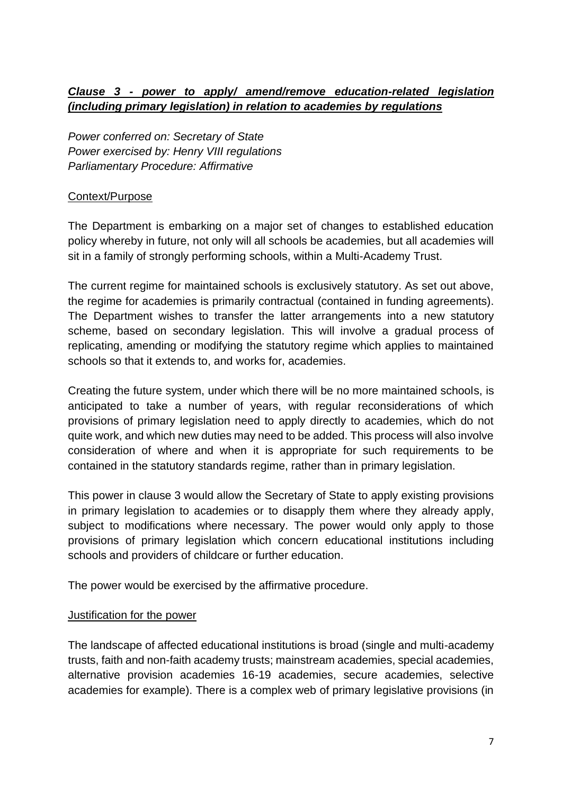# *Clause 3 - power to apply/ amend/remove education-related legislation (including primary legislation) in relation to academies by regulations*

*Power conferred on: Secretary of State Power exercised by: Henry VIII regulations Parliamentary Procedure: Affirmative*

### Context/Purpose

The Department is embarking on a major set of changes to established education policy whereby in future, not only will all schools be academies, but all academies will sit in a family of strongly performing schools, within a Multi-Academy Trust.

The current regime for maintained schools is exclusively statutory. As set out above, the regime for academies is primarily contractual (contained in funding agreements). The Department wishes to transfer the latter arrangements into a new statutory scheme, based on secondary legislation. This will involve a gradual process of replicating, amending or modifying the statutory regime which applies to maintained schools so that it extends to, and works for, academies.

Creating the future system, under which there will be no more maintained schools, is anticipated to take a number of years, with regular reconsiderations of which provisions of primary legislation need to apply directly to academies, which do not quite work, and which new duties may need to be added. This process will also involve consideration of where and when it is appropriate for such requirements to be contained in the statutory standards regime, rather than in primary legislation.

This power in clause 3 would allow the Secretary of State to apply existing provisions in primary legislation to academies or to disapply them where they already apply, subject to modifications where necessary. The power would only apply to those provisions of primary legislation which concern educational institutions including schools and providers of childcare or further education.

The power would be exercised by the affirmative procedure.

#### Justification for the power

The landscape of affected educational institutions is broad (single and multi-academy trusts, faith and non-faith academy trusts; mainstream academies, special academies, alternative provision academies 16-19 academies, secure academies, selective academies for example). There is a complex web of primary legislative provisions (in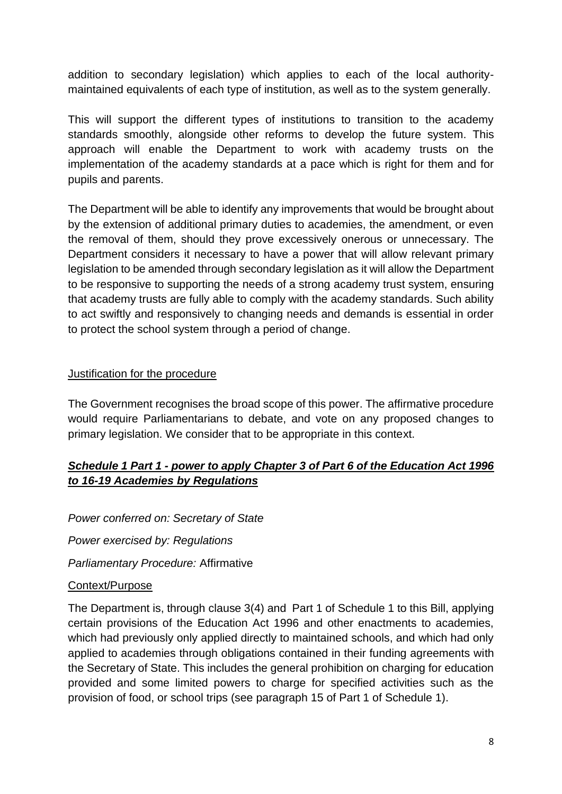addition to secondary legislation) which applies to each of the local authoritymaintained equivalents of each type of institution, as well as to the system generally.

This will support the different types of institutions to transition to the academy standards smoothly, alongside other reforms to develop the future system. This approach will enable the Department to work with academy trusts on the implementation of the academy standards at a pace which is right for them and for pupils and parents.

The Department will be able to identify any improvements that would be brought about by the extension of additional primary duties to academies, the amendment, or even the removal of them, should they prove excessively onerous or unnecessary. The Department considers it necessary to have a power that will allow relevant primary legislation to be amended through secondary legislation as it will allow the Department to be responsive to supporting the needs of a strong academy trust system, ensuring that academy trusts are fully able to comply with the academy standards. Such ability to act swiftly and responsively to changing needs and demands is essential in order to protect the school system through a period of change.

### Justification for the procedure

The Government recognises the broad scope of this power. The affirmative procedure would require Parliamentarians to debate, and vote on any proposed changes to primary legislation. We consider that to be appropriate in this context.

# *Schedule 1 Part 1 - power to apply Chapter 3 of Part 6 of the Education Act 1996 to 16-19 Academies by Regulations*

*Power conferred on: Secretary of State*

*Power exercised by: Regulations*

*Parliamentary Procedure:* Affirmative

#### Context/Purpose

The Department is, through clause 3(4) and Part 1 of Schedule 1 to this Bill, applying certain provisions of the Education Act 1996 and other enactments to academies, which had previously only applied directly to maintained schools, and which had only applied to academies through obligations contained in their funding agreements with the Secretary of State. This includes the general prohibition on charging for education provided and some limited powers to charge for specified activities such as the provision of food, or school trips (see paragraph 15 of Part 1 of Schedule 1).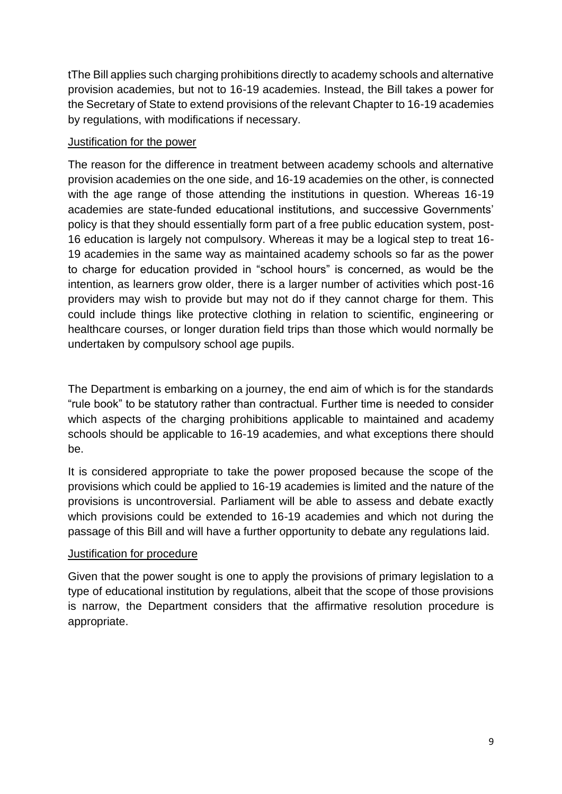tThe Bill applies such charging prohibitions directly to academy schools and alternative provision academies, but not to 16-19 academies. Instead, the Bill takes a power for the Secretary of State to extend provisions of the relevant Chapter to 16-19 academies by regulations, with modifications if necessary.

#### Justification for the power

The reason for the difference in treatment between academy schools and alternative provision academies on the one side, and 16-19 academies on the other, is connected with the age range of those attending the institutions in question. Whereas 16-19 academies are state-funded educational institutions, and successive Governments' policy is that they should essentially form part of a free public education system, post-16 education is largely not compulsory. Whereas it may be a logical step to treat 16- 19 academies in the same way as maintained academy schools so far as the power to charge for education provided in "school hours" is concerned, as would be the intention, as learners grow older, there is a larger number of activities which post-16 providers may wish to provide but may not do if they cannot charge for them. This could include things like protective clothing in relation to scientific, engineering or healthcare courses, or longer duration field trips than those which would normally be undertaken by compulsory school age pupils.

The Department is embarking on a journey, the end aim of which is for the standards "rule book" to be statutory rather than contractual. Further time is needed to consider which aspects of the charging prohibitions applicable to maintained and academy schools should be applicable to 16-19 academies, and what exceptions there should be.

It is considered appropriate to take the power proposed because the scope of the provisions which could be applied to 16-19 academies is limited and the nature of the provisions is uncontroversial. Parliament will be able to assess and debate exactly which provisions could be extended to 16-19 academies and which not during the passage of this Bill and will have a further opportunity to debate any regulations laid.

### Justification for procedure

Given that the power sought is one to apply the provisions of primary legislation to a type of educational institution by regulations, albeit that the scope of those provisions is narrow, the Department considers that the affirmative resolution procedure is appropriate.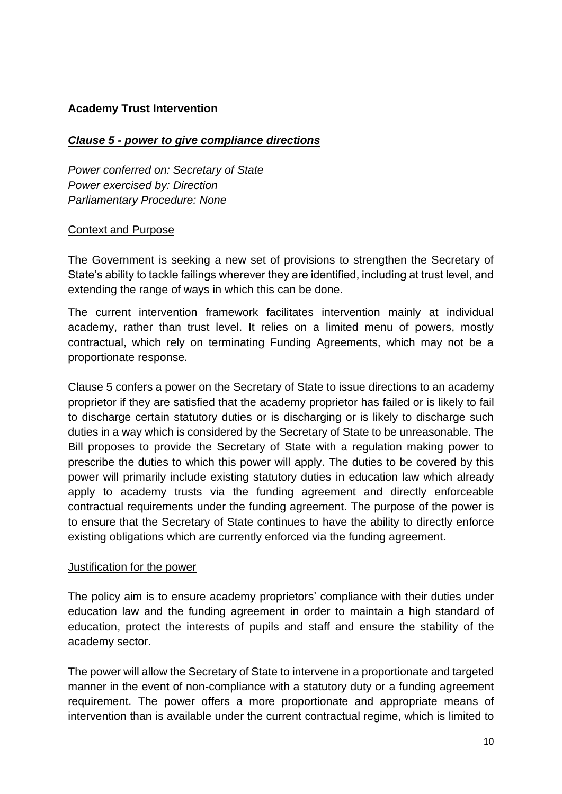### <span id="page-9-0"></span>**Academy Trust Intervention**

#### *Clause 5 - power to give compliance directions*

*Power conferred on: Secretary of State Power exercised by: Direction Parliamentary Procedure: None*

#### Context and Purpose

The Government is seeking a new set of provisions to strengthen the Secretary of State's ability to tackle failings wherever they are identified, including at trust level, and extending the range of ways in which this can be done.

The current intervention framework facilitates intervention mainly at individual academy, rather than trust level. It relies on a limited menu of powers, mostly contractual, which rely on terminating Funding Agreements, which may not be a proportionate response.

Clause 5 confers a power on the Secretary of State to issue directions to an academy proprietor if they are satisfied that the academy proprietor has failed or is likely to fail to discharge certain statutory duties or is discharging or is likely to discharge such duties in a way which is considered by the Secretary of State to be unreasonable. The Bill proposes to provide the Secretary of State with a regulation making power to prescribe the duties to which this power will apply. The duties to be covered by this power will primarily include existing statutory duties in education law which already apply to academy trusts via the funding agreement and directly enforceable contractual requirements under the funding agreement. The purpose of the power is to ensure that the Secretary of State continues to have the ability to directly enforce existing obligations which are currently enforced via the funding agreement.

#### Justification for the power

The policy aim is to ensure academy proprietors' compliance with their duties under education law and the funding agreement in order to maintain a high standard of education, protect the interests of pupils and staff and ensure the stability of the academy sector.

The power will allow the Secretary of State to intervene in a proportionate and targeted manner in the event of non-compliance with a statutory duty or a funding agreement requirement. The power offers a more proportionate and appropriate means of intervention than is available under the current contractual regime, which is limited to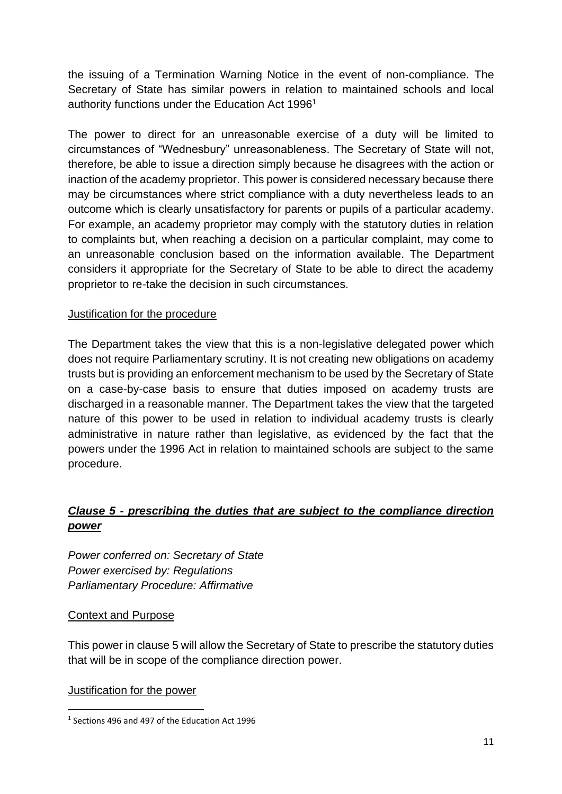the issuing of a Termination Warning Notice in the event of non-compliance. The Secretary of State has similar powers in relation to maintained schools and local authority functions under the Education Act 1996<sup>1</sup>

The power to direct for an unreasonable exercise of a duty will be limited to circumstances of "Wednesbury" unreasonableness. The Secretary of State will not, therefore, be able to issue a direction simply because he disagrees with the action or inaction of the academy proprietor. This power is considered necessary because there may be circumstances where strict compliance with a duty nevertheless leads to an outcome which is clearly unsatisfactory for parents or pupils of a particular academy. For example, an academy proprietor may comply with the statutory duties in relation to complaints but, when reaching a decision on a particular complaint, may come to an unreasonable conclusion based on the information available. The Department considers it appropriate for the Secretary of State to be able to direct the academy proprietor to re-take the decision in such circumstances.

### Justification for the procedure

The Department takes the view that this is a non-legislative delegated power which does not require Parliamentary scrutiny. It is not creating new obligations on academy trusts but is providing an enforcement mechanism to be used by the Secretary of State on a case-by-case basis to ensure that duties imposed on academy trusts are discharged in a reasonable manner. The Department takes the view that the targeted nature of this power to be used in relation to individual academy trusts is clearly administrative in nature rather than legislative, as evidenced by the fact that the powers under the 1996 Act in relation to maintained schools are subject to the same procedure.

# *Clause 5 - prescribing the duties that are subject to the compliance direction power*

*Power conferred on: Secretary of State Power exercised by: Regulations Parliamentary Procedure: Affirmative*

### Context and Purpose

This power in clause 5 will allow the Secretary of State to prescribe the statutory duties that will be in scope of the compliance direction power.

<sup>1</sup> Sections 496 and 497 of the Education Act 1996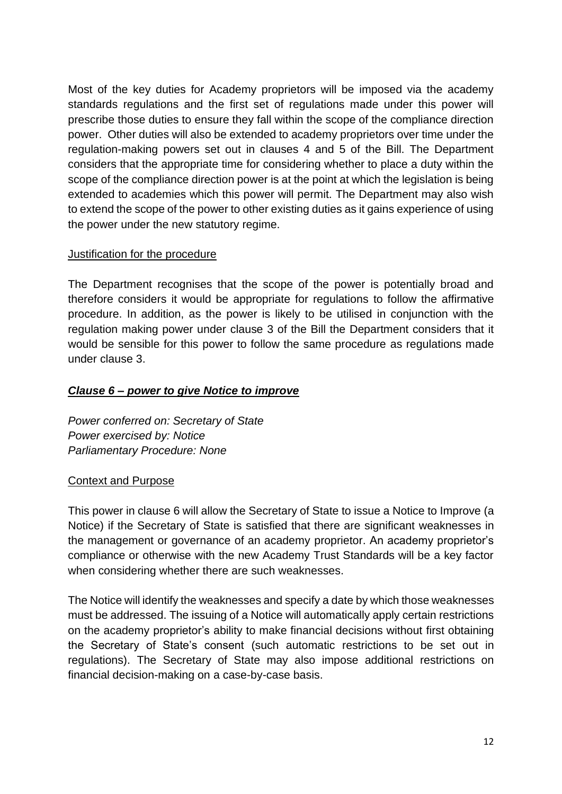Most of the key duties for Academy proprietors will be imposed via the academy standards regulations and the first set of regulations made under this power will prescribe those duties to ensure they fall within the scope of the compliance direction power. Other duties will also be extended to academy proprietors over time under the regulation-making powers set out in clauses 4 and 5 of the Bill. The Department considers that the appropriate time for considering whether to place a duty within the scope of the compliance direction power is at the point at which the legislation is being extended to academies which this power will permit. The Department may also wish to extend the scope of the power to other existing duties as it gains experience of using the power under the new statutory regime.

#### Justification for the procedure

The Department recognises that the scope of the power is potentially broad and therefore considers it would be appropriate for regulations to follow the affirmative procedure. In addition, as the power is likely to be utilised in conjunction with the regulation making power under clause 3 of the Bill the Department considers that it would be sensible for this power to follow the same procedure as regulations made under clause 3.

### *Clause 6 – power to give Notice to improve*

*Power conferred on: Secretary of State Power exercised by: Notice Parliamentary Procedure: None*

### Context and Purpose

This power in clause 6 will allow the Secretary of State to issue a Notice to Improve (a Notice) if the Secretary of State is satisfied that there are significant weaknesses in the management or governance of an academy proprietor. An academy proprietor's compliance or otherwise with the new Academy Trust Standards will be a key factor when considering whether there are such weaknesses.

The Notice will identify the weaknesses and specify a date by which those weaknesses must be addressed. The issuing of a Notice will automatically apply certain restrictions on the academy proprietor's ability to make financial decisions without first obtaining the Secretary of State's consent (such automatic restrictions to be set out in regulations). The Secretary of State may also impose additional restrictions on financial decision-making on a case-by-case basis.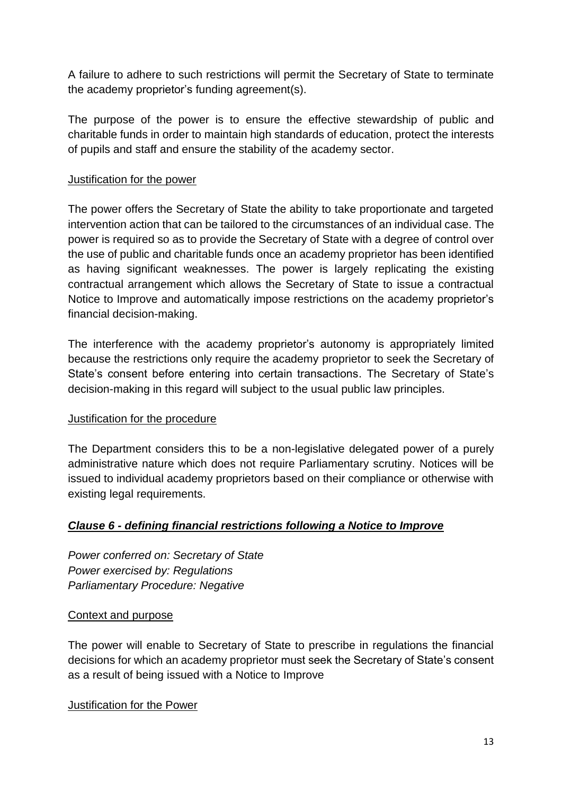A failure to adhere to such restrictions will permit the Secretary of State to terminate the academy proprietor's funding agreement(s).

The purpose of the power is to ensure the effective stewardship of public and charitable funds in order to maintain high standards of education, protect the interests of pupils and staff and ensure the stability of the academy sector.

#### Justification for the power

The power offers the Secretary of State the ability to take proportionate and targeted intervention action that can be tailored to the circumstances of an individual case. The power is required so as to provide the Secretary of State with a degree of control over the use of public and charitable funds once an academy proprietor has been identified as having significant weaknesses. The power is largely replicating the existing contractual arrangement which allows the Secretary of State to issue a contractual Notice to Improve and automatically impose restrictions on the academy proprietor's financial decision-making.

The interference with the academy proprietor's autonomy is appropriately limited because the restrictions only require the academy proprietor to seek the Secretary of State's consent before entering into certain transactions. The Secretary of State's decision-making in this regard will subject to the usual public law principles.

#### Justification for the procedure

The Department considers this to be a non-legislative delegated power of a purely administrative nature which does not require Parliamentary scrutiny. Notices will be issued to individual academy proprietors based on their compliance or otherwise with existing legal requirements.

### *Clause 6 - defining financial restrictions following a Notice to Improve*

*Power conferred on: Secretary of State Power exercised by: Regulations Parliamentary Procedure: Negative*

#### Context and purpose

The power will enable to Secretary of State to prescribe in regulations the financial decisions for which an academy proprietor must seek the Secretary of State's consent as a result of being issued with a Notice to Improve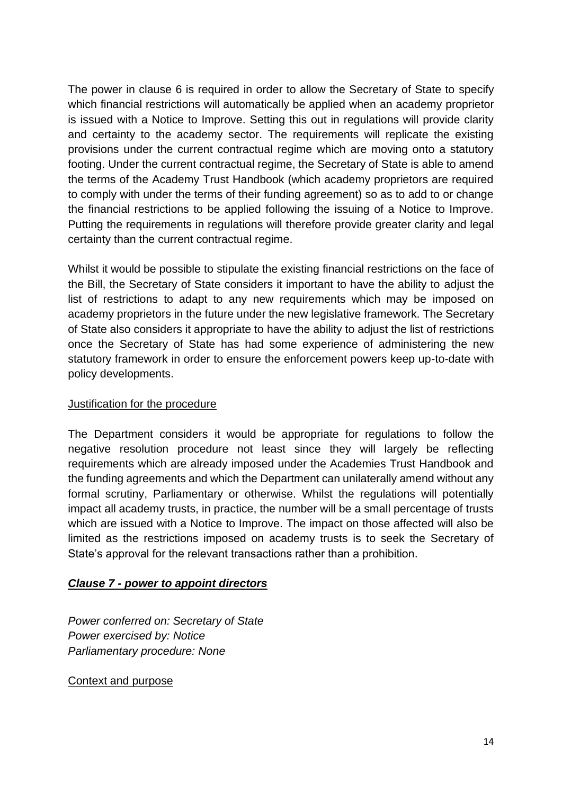The power in clause 6 is required in order to allow the Secretary of State to specify which financial restrictions will automatically be applied when an academy proprietor is issued with a Notice to Improve. Setting this out in regulations will provide clarity and certainty to the academy sector. The requirements will replicate the existing provisions under the current contractual regime which are moving onto a statutory footing. Under the current contractual regime, the Secretary of State is able to amend the terms of the Academy Trust Handbook (which academy proprietors are required to comply with under the terms of their funding agreement) so as to add to or change the financial restrictions to be applied following the issuing of a Notice to Improve. Putting the requirements in regulations will therefore provide greater clarity and legal certainty than the current contractual regime.

Whilst it would be possible to stipulate the existing financial restrictions on the face of the Bill, the Secretary of State considers it important to have the ability to adjust the list of restrictions to adapt to any new requirements which may be imposed on academy proprietors in the future under the new legislative framework. The Secretary of State also considers it appropriate to have the ability to adjust the list of restrictions once the Secretary of State has had some experience of administering the new statutory framework in order to ensure the enforcement powers keep up-to-date with policy developments.

#### Justification for the procedure

The Department considers it would be appropriate for regulations to follow the negative resolution procedure not least since they will largely be reflecting requirements which are already imposed under the Academies Trust Handbook and the funding agreements and which the Department can unilaterally amend without any formal scrutiny, Parliamentary or otherwise. Whilst the regulations will potentially impact all academy trusts, in practice, the number will be a small percentage of trusts which are issued with a Notice to Improve. The impact on those affected will also be limited as the restrictions imposed on academy trusts is to seek the Secretary of State's approval for the relevant transactions rather than a prohibition.

#### *Clause 7 - power to appoint directors*

*Power conferred on: Secretary of State Power exercised by: Notice Parliamentary procedure: None*

#### Context and purpose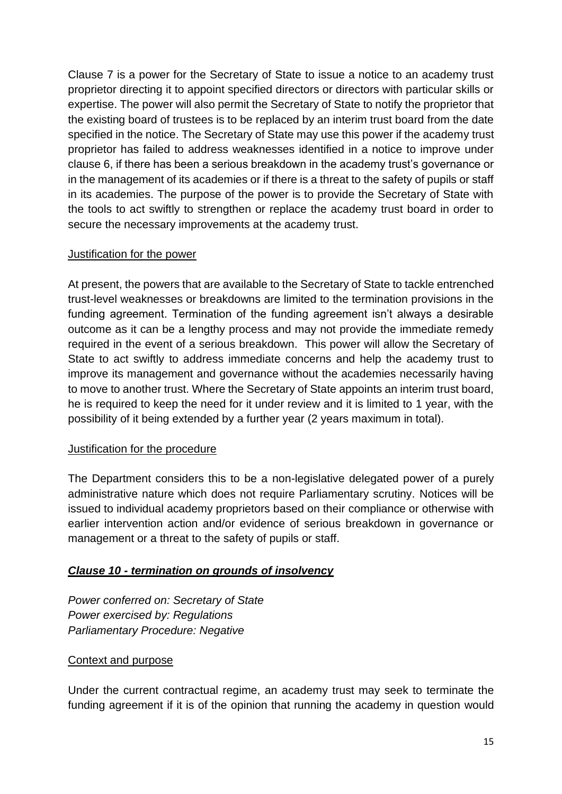Clause 7 is a power for the Secretary of State to issue a notice to an academy trust proprietor directing it to appoint specified directors or directors with particular skills or expertise. The power will also permit the Secretary of State to notify the proprietor that the existing board of trustees is to be replaced by an interim trust board from the date specified in the notice. The Secretary of State may use this power if the academy trust proprietor has failed to address weaknesses identified in a notice to improve under clause 6, if there has been a serious breakdown in the academy trust's governance or in the management of its academies or if there is a threat to the safety of pupils or staff in its academies. The purpose of the power is to provide the Secretary of State with the tools to act swiftly to strengthen or replace the academy trust board in order to secure the necessary improvements at the academy trust.

#### Justification for the power

At present, the powers that are available to the Secretary of State to tackle entrenched trust-level weaknesses or breakdowns are limited to the termination provisions in the funding agreement. Termination of the funding agreement isn't always a desirable outcome as it can be a lengthy process and may not provide the immediate remedy required in the event of a serious breakdown. This power will allow the Secretary of State to act swiftly to address immediate concerns and help the academy trust to improve its management and governance without the academies necessarily having to move to another trust. Where the Secretary of State appoints an interim trust board, he is required to keep the need for it under review and it is limited to 1 year, with the possibility of it being extended by a further year (2 years maximum in total).

### Justification for the procedure

The Department considers this to be a non-legislative delegated power of a purely administrative nature which does not require Parliamentary scrutiny. Notices will be issued to individual academy proprietors based on their compliance or otherwise with earlier intervention action and/or evidence of serious breakdown in governance or management or a threat to the safety of pupils or staff.

### *Clause 10 - termination on grounds of insolvency*

*Power conferred on: Secretary of State Power exercised by: Regulations Parliamentary Procedure: Negative*

#### Context and purpose

Under the current contractual regime, an academy trust may seek to terminate the funding agreement if it is of the opinion that running the academy in question would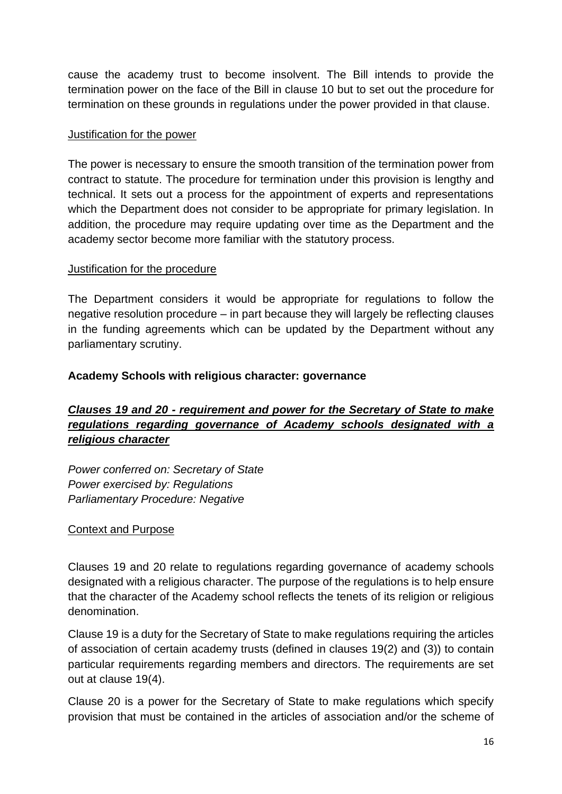cause the academy trust to become insolvent. The Bill intends to provide the termination power on the face of the Bill in clause 10 but to set out the procedure for termination on these grounds in regulations under the power provided in that clause.

#### Justification for the power

The power is necessary to ensure the smooth transition of the termination power from contract to statute. The procedure for termination under this provision is lengthy and technical. It sets out a process for the appointment of experts and representations which the Department does not consider to be appropriate for primary legislation. In addition, the procedure may require updating over time as the Department and the academy sector become more familiar with the statutory process.

#### Justification for the procedure

The Department considers it would be appropriate for regulations to follow the negative resolution procedure – in part because they will largely be reflecting clauses in the funding agreements which can be updated by the Department without any parliamentary scrutiny.

#### <span id="page-15-0"></span>**Academy Schools with religious character: governance**

# *Clauses 19 and 20 - requirement and power for the Secretary of State to make regulations regarding governance of Academy schools designated with a religious character*

*Power conferred on: Secretary of State Power exercised by: Regulations Parliamentary Procedure: Negative*

### Context and Purpose

Clauses 19 and 20 relate to regulations regarding governance of academy schools designated with a religious character. The purpose of the regulations is to help ensure that the character of the Academy school reflects the tenets of its religion or religious denomination.

Clause 19 is a duty for the Secretary of State to make regulations requiring the articles of association of certain academy trusts (defined in clauses 19(2) and (3)) to contain particular requirements regarding members and directors. The requirements are set out at clause 19(4).

Clause 20 is a power for the Secretary of State to make regulations which specify provision that must be contained in the articles of association and/or the scheme of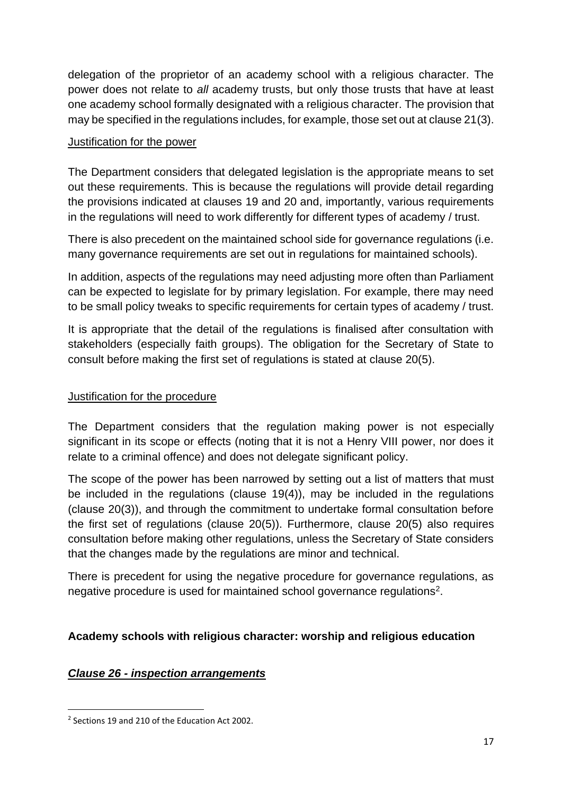delegation of the proprietor of an academy school with a religious character. The power does not relate to *all* academy trusts, but only those trusts that have at least one academy school formally designated with a religious character. The provision that may be specified in the regulations includes, for example, those set out at clause 21(3).

#### Justification for the power

The Department considers that delegated legislation is the appropriate means to set out these requirements. This is because the regulations will provide detail regarding the provisions indicated at clauses 19 and 20 and, importantly, various requirements in the regulations will need to work differently for different types of academy / trust.

There is also precedent on the maintained school side for governance regulations (i.e. many governance requirements are set out in regulations for maintained schools).

In addition, aspects of the regulations may need adjusting more often than Parliament can be expected to legislate for by primary legislation. For example, there may need to be small policy tweaks to specific requirements for certain types of academy / trust.

It is appropriate that the detail of the regulations is finalised after consultation with stakeholders (especially faith groups). The obligation for the Secretary of State to consult before making the first set of regulations is stated at clause 20(5).

#### Justification for the procedure

The Department considers that the regulation making power is not especially significant in its scope or effects (noting that it is not a Henry VIII power, nor does it relate to a criminal offence) and does not delegate significant policy.

The scope of the power has been narrowed by setting out a list of matters that must be included in the regulations (clause 19(4)), may be included in the regulations (clause 20(3)), and through the commitment to undertake formal consultation before the first set of regulations (clause 20(5)). Furthermore, clause 20(5) also requires consultation before making other regulations, unless the Secretary of State considers that the changes made by the regulations are minor and technical.

There is precedent for using the negative procedure for governance regulations, as negative procedure is used for maintained school governance regulations<sup>2</sup>.

### <span id="page-16-0"></span>**Academy schools with religious character: worship and religious education**

### *Clause 26 - inspection arrangements*

<sup>&</sup>lt;sup>2</sup> Sections 19 and 210 of the Education Act 2002.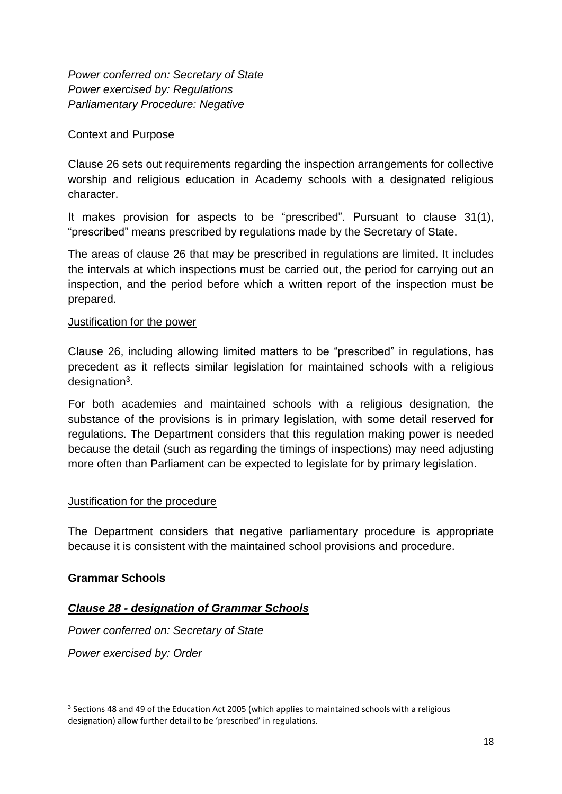*Power conferred on: Secretary of State Power exercised by: Regulations Parliamentary Procedure: Negative*

#### Context and Purpose

Clause 26 sets out requirements regarding the inspection arrangements for collective worship and religious education in Academy schools with a designated religious character.

It makes provision for aspects to be "prescribed". Pursuant to clause 31(1), "prescribed" means prescribed by regulations made by the Secretary of State.

The areas of clause 26 that may be prescribed in regulations are limited. It includes the intervals at which inspections must be carried out, the period for carrying out an inspection, and the period before which a written report of the inspection must be prepared.

#### Justification for the power

Clause 26, including allowing limited matters to be "prescribed" in regulations, has precedent as it reflects similar legislation for maintained schools with a religious designation<sup>3</sup>.

For both academies and maintained schools with a religious designation, the substance of the provisions is in primary legislation, with some detail reserved for regulations. The Department considers that this regulation making power is needed because the detail (such as regarding the timings of inspections) may need adjusting more often than Parliament can be expected to legislate for by primary legislation.

### Justification for the procedure

The Department considers that negative parliamentary procedure is appropriate because it is consistent with the maintained school provisions and procedure.

### <span id="page-17-0"></span>**Grammar Schools**

### *Clause 28 - designation of Grammar Schools*

*Power conferred on: Secretary of State*

*Power exercised by: Order*

<sup>&</sup>lt;sup>3</sup> Sections 48 and 49 of the Education Act 2005 (which applies to maintained schools with a religious designation) allow further detail to be 'prescribed' in regulations.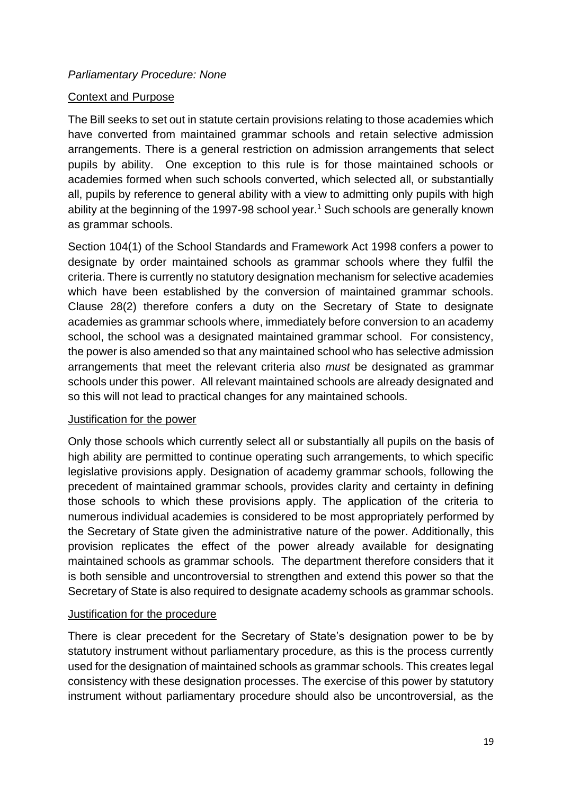#### *Parliamentary Procedure: None*

#### Context and Purpose

The Bill seeks to set out in statute certain provisions relating to those academies which have converted from maintained grammar schools and retain selective admission arrangements. There is a general restriction on admission arrangements that select pupils by ability. One exception to this rule is for those maintained schools or academies formed when such schools converted, which selected all, or substantially all, pupils by reference to general ability with a view to admitting only pupils with high ability at the beginning of the 1997-98 school year.<sup>1</sup> Such schools are generally known as grammar schools.

Section 104(1) of the School Standards and Framework Act 1998 confers a power to designate by order maintained schools as grammar schools where they fulfil the criteria. There is currently no statutory designation mechanism for selective academies which have been established by the conversion of maintained grammar schools. Clause 28(2) therefore confers a duty on the Secretary of State to designate academies as grammar schools where, immediately before conversion to an academy school, the school was a designated maintained grammar school. For consistency, the power is also amended so that any maintained school who has selective admission arrangements that meet the relevant criteria also *must* be designated as grammar schools under this power. All relevant maintained schools are already designated and so this will not lead to practical changes for any maintained schools.

#### Justification for the power

Only those schools which currently select all or substantially all pupils on the basis of high ability are permitted to continue operating such arrangements, to which specific legislative provisions apply. Designation of academy grammar schools, following the precedent of maintained grammar schools, provides clarity and certainty in defining those schools to which these provisions apply. The application of the criteria to numerous individual academies is considered to be most appropriately performed by the Secretary of State given the administrative nature of the power. Additionally, this provision replicates the effect of the power already available for designating maintained schools as grammar schools. The department therefore considers that it is both sensible and uncontroversial to strengthen and extend this power so that the Secretary of State is also required to designate academy schools as grammar schools.

#### Justification for the procedure

There is clear precedent for the Secretary of State's designation power to be by statutory instrument without parliamentary procedure, as this is the process currently used for the designation of maintained schools as grammar schools. This creates legal consistency with these designation processes. The exercise of this power by statutory instrument without parliamentary procedure should also be uncontroversial, as the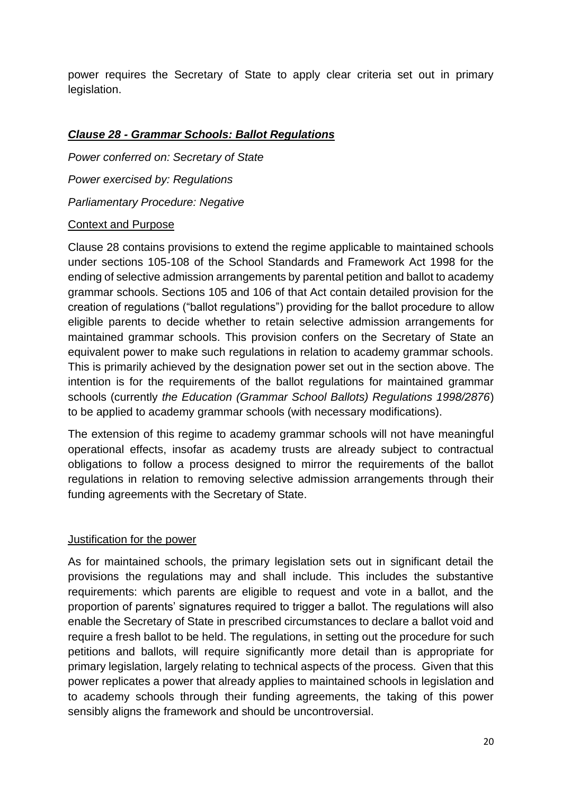power requires the Secretary of State to apply clear criteria set out in primary legislation.

### *Clause 28 - Grammar Schools: Ballot Regulations*

*Power conferred on: Secretary of State Power exercised by: Regulations Parliamentary Procedure: Negative* 

### Context and Purpose

Clause 28 contains provisions to extend the regime applicable to maintained schools under sections 105-108 of the School Standards and Framework Act 1998 for the ending of selective admission arrangements by parental petition and ballot to academy grammar schools. Sections 105 and 106 of that Act contain detailed provision for the creation of regulations ("ballot regulations") providing for the ballot procedure to allow eligible parents to decide whether to retain selective admission arrangements for maintained grammar schools. This provision confers on the Secretary of State an equivalent power to make such regulations in relation to academy grammar schools. This is primarily achieved by the designation power set out in the section above. The intention is for the requirements of the ballot regulations for maintained grammar schools (currently *the Education (Grammar School Ballots) Regulations 1998/2876*) to be applied to academy grammar schools (with necessary modifications).

The extension of this regime to academy grammar schools will not have meaningful operational effects, insofar as academy trusts are already subject to contractual obligations to follow a process designed to mirror the requirements of the ballot regulations in relation to removing selective admission arrangements through their funding agreements with the Secretary of State.

#### Justification for the power

As for maintained schools, the primary legislation sets out in significant detail the provisions the regulations may and shall include. This includes the substantive requirements: which parents are eligible to request and vote in a ballot, and the proportion of parents' signatures required to trigger a ballot. The regulations will also enable the Secretary of State in prescribed circumstances to declare a ballot void and require a fresh ballot to be held. The regulations, in setting out the procedure for such petitions and ballots, will require significantly more detail than is appropriate for primary legislation, largely relating to technical aspects of the process. Given that this power replicates a power that already applies to maintained schools in legislation and to academy schools through their funding agreements, the taking of this power sensibly aligns the framework and should be uncontroversial.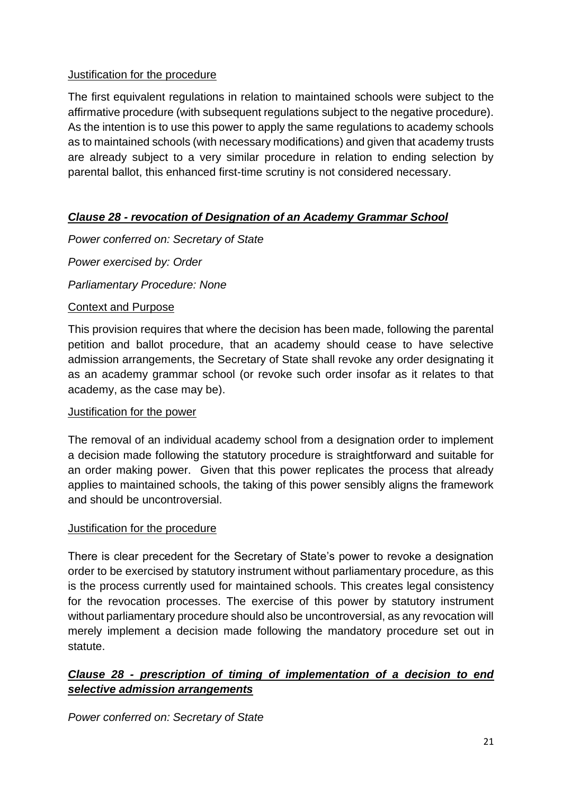### Justification for the procedure

The first equivalent regulations in relation to maintained schools were subject to the affirmative procedure (with subsequent regulations subject to the negative procedure). As the intention is to use this power to apply the same regulations to academy schools as to maintained schools (with necessary modifications) and given that academy trusts are already subject to a very similar procedure in relation to ending selection by parental ballot, this enhanced first-time scrutiny is not considered necessary.

# *Clause 28 - revocation of Designation of an Academy Grammar School*

*Power conferred on: Secretary of State*

*Power exercised by: Order*

*Parliamentary Procedure: None*

### Context and Purpose

This provision requires that where the decision has been made, following the parental petition and ballot procedure, that an academy should cease to have selective admission arrangements, the Secretary of State shall revoke any order designating it as an academy grammar school (or revoke such order insofar as it relates to that academy, as the case may be).

### Justification for the power

The removal of an individual academy school from a designation order to implement a decision made following the statutory procedure is straightforward and suitable for an order making power. Given that this power replicates the process that already applies to maintained schools, the taking of this power sensibly aligns the framework and should be uncontroversial.

### Justification for the procedure

There is clear precedent for the Secretary of State's power to revoke a designation order to be exercised by statutory instrument without parliamentary procedure, as this is the process currently used for maintained schools. This creates legal consistency for the revocation processes. The exercise of this power by statutory instrument without parliamentary procedure should also be uncontroversial, as any revocation will merely implement a decision made following the mandatory procedure set out in statute.

# *Clause 28 - prescription of timing of implementation of a decision to end selective admission arrangements*

*Power conferred on: Secretary of State*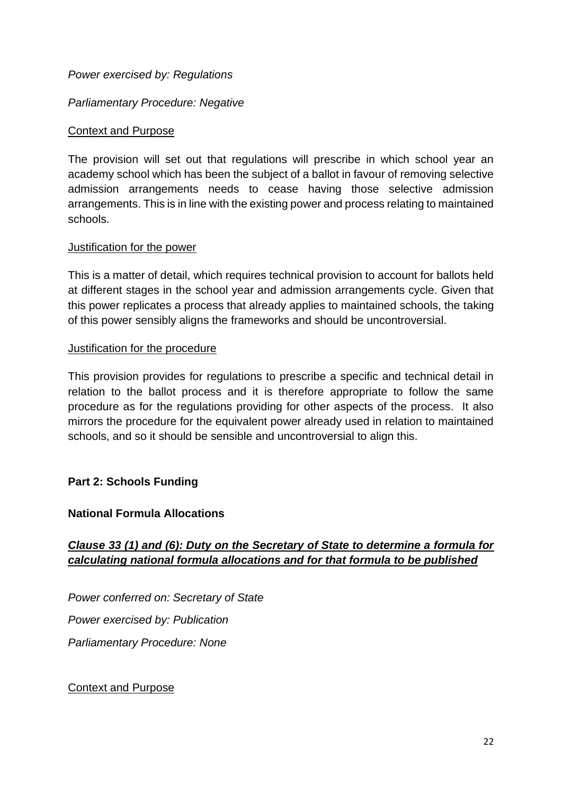#### *Power exercised by: Regulations*

#### *Parliamentary Procedure: Negative*

#### Context and Purpose

The provision will set out that regulations will prescribe in which school year an academy school which has been the subject of a ballot in favour of removing selective admission arrangements needs to cease having those selective admission arrangements. This is in line with the existing power and process relating to maintained schools.

#### Justification for the power

This is a matter of detail, which requires technical provision to account for ballots held at different stages in the school year and admission arrangements cycle. Given that this power replicates a process that already applies to maintained schools, the taking of this power sensibly aligns the frameworks and should be uncontroversial.

#### Justification for the procedure

This provision provides for regulations to prescribe a specific and technical detail in relation to the ballot process and it is therefore appropriate to follow the same procedure as for the regulations providing for other aspects of the process. It also mirrors the procedure for the equivalent power already used in relation to maintained schools, and so it should be sensible and uncontroversial to align this.

### <span id="page-21-0"></span>**Part 2: Schools Funding**

#### <span id="page-21-1"></span>**National Formula Allocations**

# *Clause 33 (1) and (6): Duty on the Secretary of State to determine a formula for calculating national formula allocations and for that formula to be published*

*Power conferred on: Secretary of State Power exercised by: Publication Parliamentary Procedure: None*

#### Context and Purpose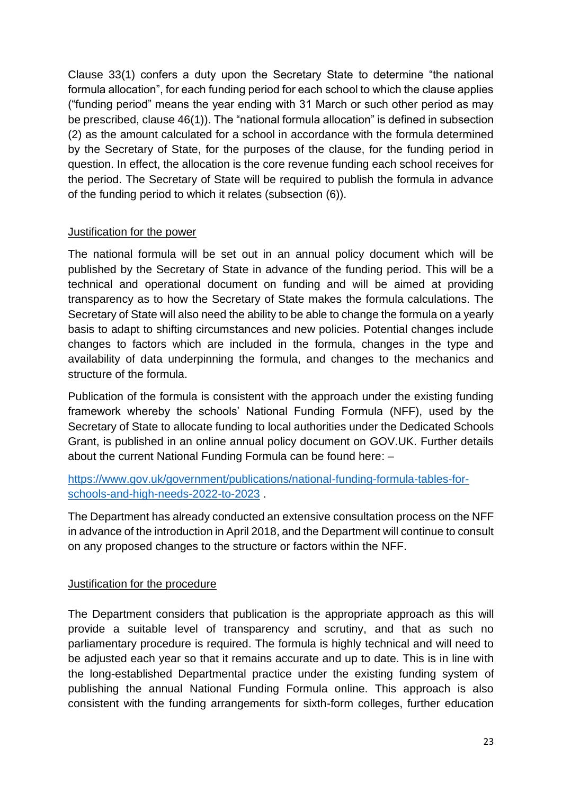Clause 33(1) confers a duty upon the Secretary State to determine "the national formula allocation", for each funding period for each school to which the clause applies ("funding period" means the year ending with 31 March or such other period as may be prescribed, clause 46(1)). The "national formula allocation" is defined in subsection (2) as the amount calculated for a school in accordance with the formula determined by the Secretary of State, for the purposes of the clause, for the funding period in question. In effect, the allocation is the core revenue funding each school receives for the period. The Secretary of State will be required to publish the formula in advance of the funding period to which it relates (subsection (6)).

### Justification for the power

The national formula will be set out in an annual policy document which will be published by the Secretary of State in advance of the funding period. This will be a technical and operational document on funding and will be aimed at providing transparency as to how the Secretary of State makes the formula calculations. The Secretary of State will also need the ability to be able to change the formula on a yearly basis to adapt to shifting circumstances and new policies. Potential changes include changes to factors which are included in the formula, changes in the type and availability of data underpinning the formula, and changes to the mechanics and structure of the formula.

Publication of the formula is consistent with the approach under the existing funding framework whereby the schools' National Funding Formula (NFF), used by the Secretary of State to allocate funding to local authorities under the Dedicated Schools Grant, is published in an online annual policy document on GOV.UK. Further details about the current National Funding Formula can be found here: –

### [https://www.gov.uk/government/publications/national-funding-formula-tables-for](https://www.gov.uk/government/publications/national-funding-formula-tables-for-schools-and-high-needs-2022-to-2023)[schools-and-high-needs-2022-to-2023](https://www.gov.uk/government/publications/national-funding-formula-tables-for-schools-and-high-needs-2022-to-2023) .

The Department has already conducted an extensive consultation process on the NFF in advance of the introduction in April 2018, and the Department will continue to consult on any proposed changes to the structure or factors within the NFF.

### Justification for the procedure

The Department considers that publication is the appropriate approach as this will provide a suitable level of transparency and scrutiny, and that as such no parliamentary procedure is required. The formula is highly technical and will need to be adjusted each year so that it remains accurate and up to date. This is in line with the long-established Departmental practice under the existing funding system of publishing the annual National Funding Formula online. This approach is also consistent with the funding arrangements for sixth-form colleges, further education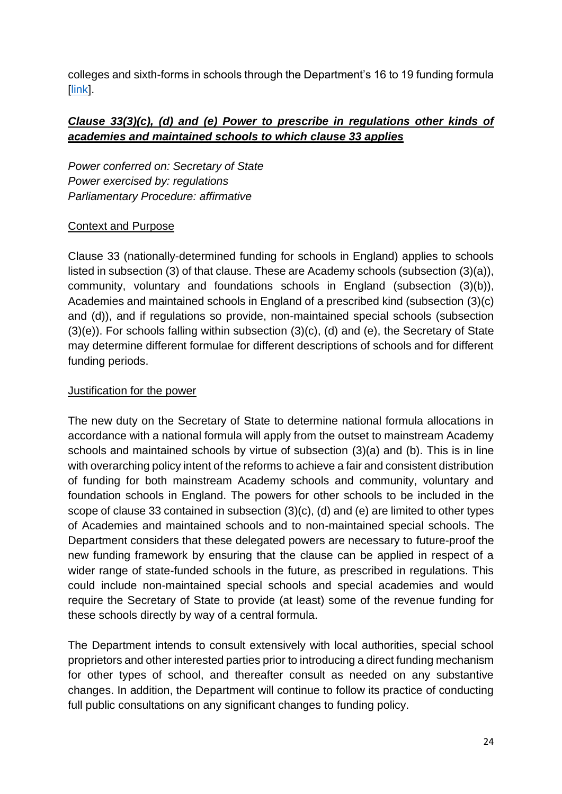colleges and sixth-forms in schools through the Department's 16 to 19 funding formula [\[link\]](https://www.gov.uk/guidance/16-to-19-funding-how-it-works).

# *Clause 33(3)(c), (d) and (e) Power to prescribe in regulations other kinds of academies and maintained schools to which clause 33 applies*

*Power conferred on: Secretary of State Power exercised by: regulations Parliamentary Procedure: affirmative*

# Context and Purpose

Clause 33 (nationally-determined funding for schools in England) applies to schools listed in subsection (3) of that clause. These are Academy schools (subsection (3)(a)), community, voluntary and foundations schools in England (subsection (3)(b)), Academies and maintained schools in England of a prescribed kind (subsection (3)(c) and (d)), and if regulations so provide, non-maintained special schools (subsection (3)(e)). For schools falling within subsection (3)(c), (d) and (e), the Secretary of State may determine different formulae for different descriptions of schools and for different funding periods.

### Justification for the power

The new duty on the Secretary of State to determine national formula allocations in accordance with a national formula will apply from the outset to mainstream Academy schools and maintained schools by virtue of subsection (3)(a) and (b). This is in line with overarching policy intent of the reforms to achieve a fair and consistent distribution of funding for both mainstream Academy schools and community, voluntary and foundation schools in England. The powers for other schools to be included in the scope of clause 33 contained in subsection (3)(c), (d) and (e) are limited to other types of Academies and maintained schools and to non-maintained special schools. The Department considers that these delegated powers are necessary to future-proof the new funding framework by ensuring that the clause can be applied in respect of a wider range of state-funded schools in the future, as prescribed in regulations. This could include non-maintained special schools and special academies and would require the Secretary of State to provide (at least) some of the revenue funding for these schools directly by way of a central formula.

The Department intends to consult extensively with local authorities, special school proprietors and other interested parties prior to introducing a direct funding mechanism for other types of school, and thereafter consult as needed on any substantive changes. In addition, the Department will continue to follow its practice of conducting full public consultations on any significant changes to funding policy.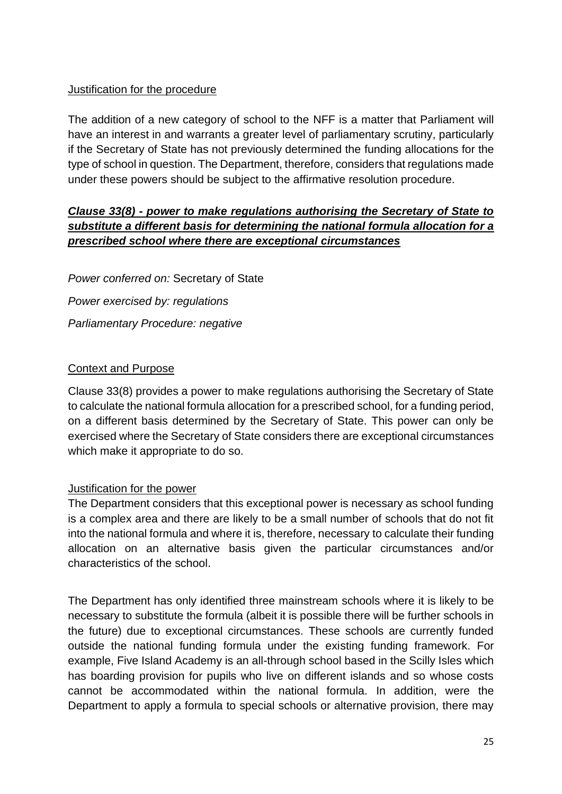#### Justification for the procedure

The addition of a new category of school to the NFF is a matter that Parliament will have an interest in and warrants a greater level of parliamentary scrutiny, particularly if the Secretary of State has not previously determined the funding allocations for the type of school in question. The Department, therefore, considers that regulations made under these powers should be subject to the affirmative resolution procedure.

# *Clause 33(8) - power to make regulations authorising the Secretary of State to substitute a different basis for determining the national formula allocation for a prescribed school where there are exceptional circumstances*

*Power conferred on:* Secretary of State *Power exercised by: regulations Parliamentary Procedure: negative*

#### Context and Purpose

Clause 33(8) provides a power to make regulations authorising the Secretary of State to calculate the national formula allocation for a prescribed school, for a funding period, on a different basis determined by the Secretary of State. This power can only be exercised where the Secretary of State considers there are exceptional circumstances which make it appropriate to do so.

### Justification for the power

The Department considers that this exceptional power is necessary as school funding is a complex area and there are likely to be a small number of schools that do not fit into the national formula and where it is, therefore, necessary to calculate their funding allocation on an alternative basis given the particular circumstances and/or characteristics of the school.

The Department has only identified three mainstream schools where it is likely to be necessary to substitute the formula (albeit it is possible there will be further schools in the future) due to exceptional circumstances. These schools are currently funded outside the national funding formula under the existing funding framework. For example, Five Island Academy is an all-through school based in the Scilly Isles which has boarding provision for pupils who live on different islands and so whose costs cannot be accommodated within the national formula. In addition, were the Department to apply a formula to special schools or alternative provision, there may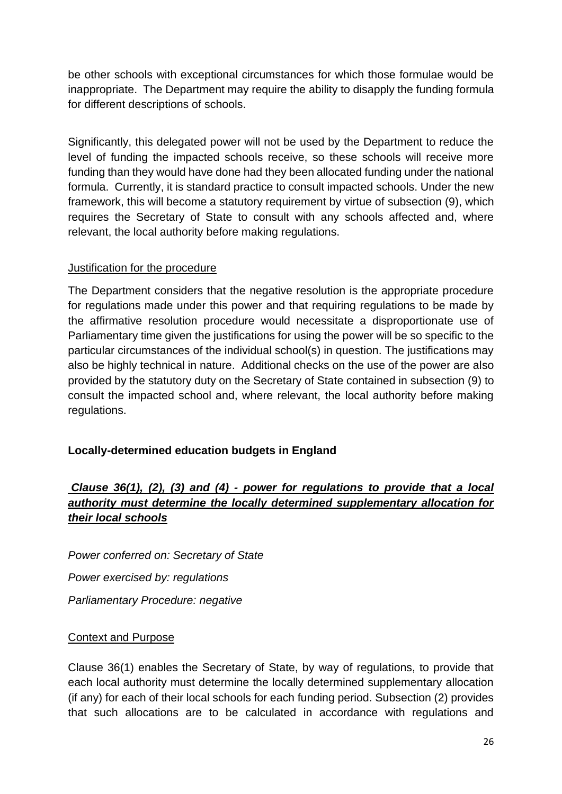be other schools with exceptional circumstances for which those formulae would be inappropriate. The Department may require the ability to disapply the funding formula for different descriptions of schools.

Significantly, this delegated power will not be used by the Department to reduce the level of funding the impacted schools receive, so these schools will receive more funding than they would have done had they been allocated funding under the national formula. Currently, it is standard practice to consult impacted schools. Under the new framework, this will become a statutory requirement by virtue of subsection (9), which requires the Secretary of State to consult with any schools affected and, where relevant, the local authority before making regulations.

### Justification for the procedure

The Department considers that the negative resolution is the appropriate procedure for regulations made under this power and that requiring regulations to be made by the affirmative resolution procedure would necessitate a disproportionate use of Parliamentary time given the justifications for using the power will be so specific to the particular circumstances of the individual school(s) in question. The justifications may also be highly technical in nature. Additional checks on the use of the power are also provided by the statutory duty on the Secretary of State contained in subsection (9) to consult the impacted school and, where relevant, the local authority before making regulations.

# <span id="page-25-0"></span>**Locally-determined education budgets in England**

# *Clause 36(1), (2), (3) and (4) - power for regulations to provide that a local authority must determine the locally determined supplementary allocation for their local schools*

*Power conferred on: Secretary of State Power exercised by: regulations Parliamentary Procedure: negative*

### Context and Purpose

Clause 36(1) enables the Secretary of State, by way of regulations, to provide that each local authority must determine the locally determined supplementary allocation (if any) for each of their local schools for each funding period. Subsection (2) provides that such allocations are to be calculated in accordance with regulations and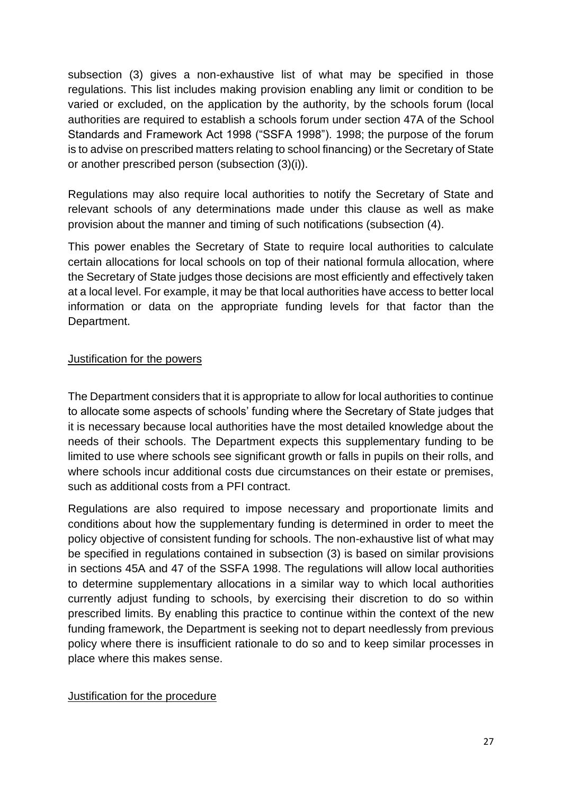subsection (3) gives a non-exhaustive list of what may be specified in those regulations. This list includes making provision enabling any limit or condition to be varied or excluded, on the application by the authority, by the schools forum (local authorities are required to establish a schools forum under section 47A of the School Standards and Framework Act 1998 ("SSFA 1998"). 1998; the purpose of the forum is to advise on prescribed matters relating to school financing) or the Secretary of State or another prescribed person (subsection (3)(i)).

Regulations may also require local authorities to notify the Secretary of State and relevant schools of any determinations made under this clause as well as make provision about the manner and timing of such notifications (subsection (4).

This power enables the Secretary of State to require local authorities to calculate certain allocations for local schools on top of their national formula allocation, where the Secretary of State judges those decisions are most efficiently and effectively taken at a local level. For example, it may be that local authorities have access to better local information or data on the appropriate funding levels for that factor than the Department.

### Justification for the powers

The Department considers that it is appropriate to allow for local authorities to continue to allocate some aspects of schools' funding where the Secretary of State judges that it is necessary because local authorities have the most detailed knowledge about the needs of their schools. The Department expects this supplementary funding to be limited to use where schools see significant growth or falls in pupils on their rolls, and where schools incur additional costs due circumstances on their estate or premises, such as additional costs from a PFI contract.

Regulations are also required to impose necessary and proportionate limits and conditions about how the supplementary funding is determined in order to meet the policy objective of consistent funding for schools. The non-exhaustive list of what may be specified in regulations contained in subsection (3) is based on similar provisions in sections 45A and 47 of the SSFA 1998. The regulations will allow local authorities to determine supplementary allocations in a similar way to which local authorities currently adjust funding to schools, by exercising their discretion to do so within prescribed limits. By enabling this practice to continue within the context of the new funding framework, the Department is seeking not to depart needlessly from previous policy where there is insufficient rationale to do so and to keep similar processes in place where this makes sense.

#### Justification for the procedure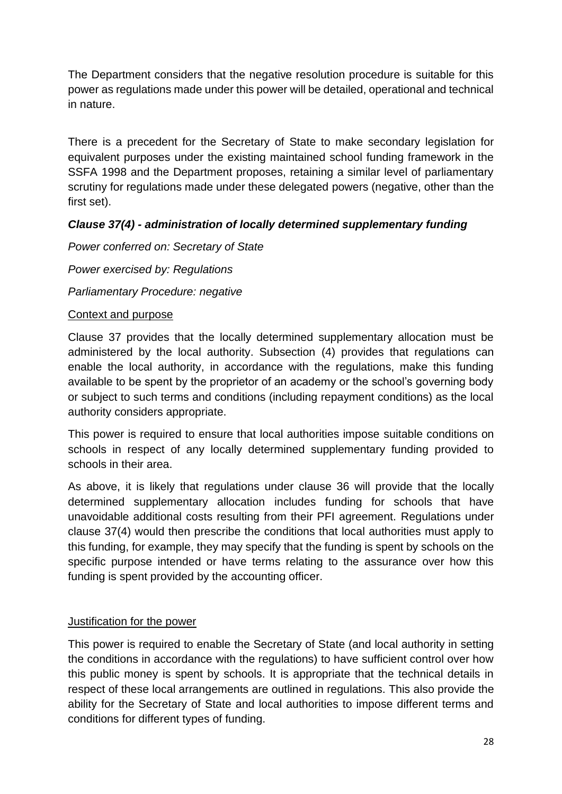The Department considers that the negative resolution procedure is suitable for this power as regulations made under this power will be detailed, operational and technical in nature.

There is a precedent for the Secretary of State to make secondary legislation for equivalent purposes under the existing maintained school funding framework in the SSFA 1998 and the Department proposes, retaining a similar level of parliamentary scrutiny for regulations made under these delegated powers (negative, other than the first set).

# *Clause 37(4) - administration of locally determined supplementary funding*

# *Power conferred on: Secretary of State*

*Power exercised by: Regulations*

*Parliamentary Procedure: negative*

### Context and purpose

Clause 37 provides that the locally determined supplementary allocation must be administered by the local authority. Subsection (4) provides that regulations can enable the local authority, in accordance with the regulations, make this funding available to be spent by the proprietor of an academy or the school's governing body or subject to such terms and conditions (including repayment conditions) as the local authority considers appropriate.

This power is required to ensure that local authorities impose suitable conditions on schools in respect of any locally determined supplementary funding provided to schools in their area.

As above, it is likely that regulations under clause 36 will provide that the locally determined supplementary allocation includes funding for schools that have unavoidable additional costs resulting from their PFI agreement. Regulations under clause 37(4) would then prescribe the conditions that local authorities must apply to this funding, for example, they may specify that the funding is spent by schools on the specific purpose intended or have terms relating to the assurance over how this funding is spent provided by the accounting officer.

### Justification for the power

This power is required to enable the Secretary of State (and local authority in setting the conditions in accordance with the regulations) to have sufficient control over how this public money is spent by schools. It is appropriate that the technical details in respect of these local arrangements are outlined in regulations. This also provide the ability for the Secretary of State and local authorities to impose different terms and conditions for different types of funding.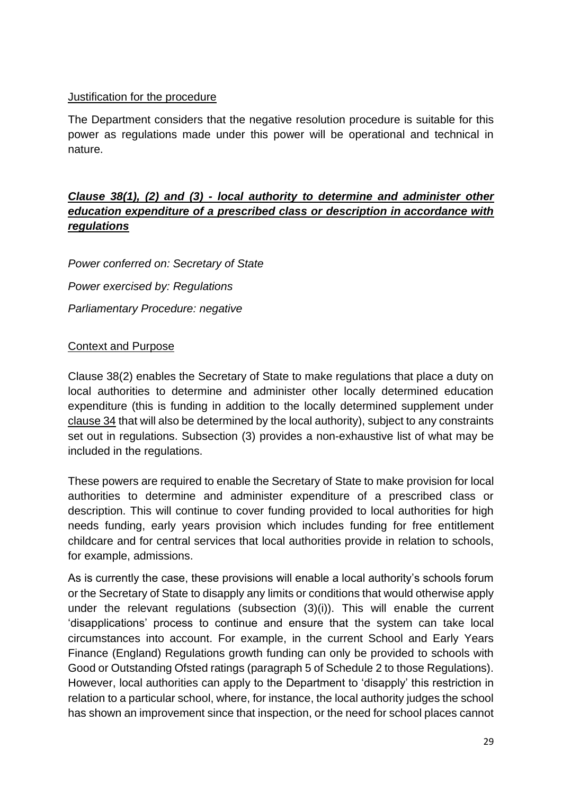### Justification for the procedure

The Department considers that the negative resolution procedure is suitable for this power as regulations made under this power will be operational and technical in nature.

# *Clause 38(1), (2) and (3) - local authority to determine and administer other education expenditure of a prescribed class or description in accordance with regulations*

*Power conferred on: Secretary of State Power exercised by: Regulations Parliamentary Procedure: negative*

# Context and Purpose

Clause 38(2) enables the Secretary of State to make regulations that place a duty on local authorities to determine and administer other locally determined education expenditure (this is funding in addition to the locally determined supplement under clause 34 that will also be determined by the local authority), subject to any constraints set out in regulations. Subsection (3) provides a non-exhaustive list of what may be included in the regulations.

These powers are required to enable the Secretary of State to make provision for local authorities to determine and administer expenditure of a prescribed class or description. This will continue to cover funding provided to local authorities for high needs funding, early years provision which includes funding for free entitlement childcare and for central services that local authorities provide in relation to schools, for example, admissions.

As is currently the case, these provisions will enable a local authority's schools forum or the Secretary of State to disapply any limits or conditions that would otherwise apply under the relevant regulations (subsection (3)(i)). This will enable the current 'disapplications' process to continue and ensure that the system can take local circumstances into account. For example, in the current School and Early Years Finance (England) Regulations growth funding can only be provided to schools with Good or Outstanding Ofsted ratings (paragraph 5 of Schedule 2 to those Regulations). However, local authorities can apply to the Department to 'disapply' this restriction in relation to a particular school, where, for instance, the local authority judges the school has shown an improvement since that inspection, or the need for school places cannot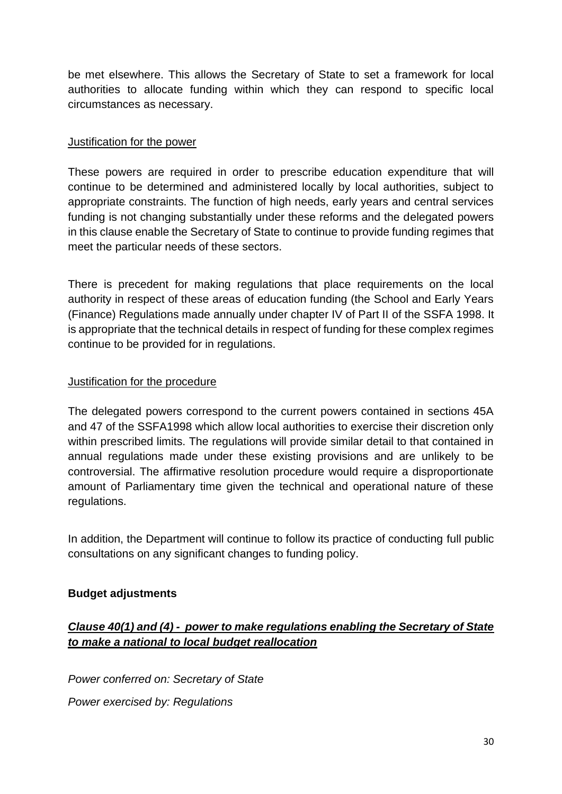be met elsewhere. This allows the Secretary of State to set a framework for local authorities to allocate funding within which they can respond to specific local circumstances as necessary.

#### Justification for the power

These powers are required in order to prescribe education expenditure that will continue to be determined and administered locally by local authorities, subject to appropriate constraints. The function of high needs, early years and central services funding is not changing substantially under these reforms and the delegated powers in this clause enable the Secretary of State to continue to provide funding regimes that meet the particular needs of these sectors.

There is precedent for making regulations that place requirements on the local authority in respect of these areas of education funding (the School and Early Years (Finance) Regulations made annually under chapter IV of Part II of the SSFA 1998. It is appropriate that the technical details in respect of funding for these complex regimes continue to be provided for in regulations.

#### Justification for the procedure

The delegated powers correspond to the current powers contained in sections 45A and 47 of the SSFA1998 which allow local authorities to exercise their discretion only within prescribed limits. The regulations will provide similar detail to that contained in annual regulations made under these existing provisions and are unlikely to be controversial. The affirmative resolution procedure would require a disproportionate amount of Parliamentary time given the technical and operational nature of these regulations.

In addition, the Department will continue to follow its practice of conducting full public consultations on any significant changes to funding policy.

### <span id="page-29-0"></span>**Budget adjustments**

# *Clause 40(1) and (4) - power to make regulations enabling the Secretary of State to make a national to local budget reallocation*

*Power conferred on: Secretary of State Power exercised by: Regulations*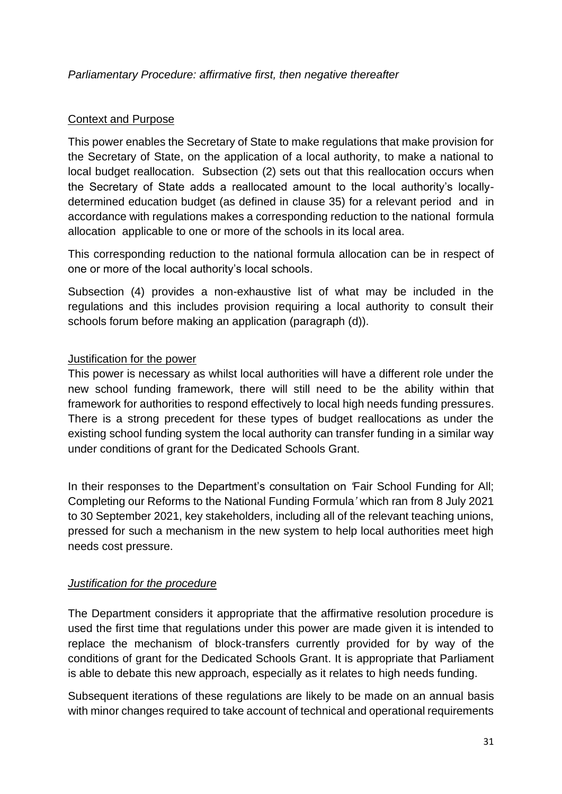### Context and Purpose

This power enables the Secretary of State to make regulations that make provision for the Secretary of State, on the application of a local authority, to make a national to local budget reallocation. Subsection (2) sets out that this reallocation occurs when the Secretary of State adds a reallocated amount to the local authority's locallydetermined education budget (as defined in clause 35) for a relevant period and in accordance with regulations makes a corresponding reduction to the national formula allocation applicable to one or more of the schools in its local area.

This corresponding reduction to the national formula allocation can be in respect of one or more of the local authority's local schools.

Subsection (4) provides a non-exhaustive list of what may be included in the regulations and this includes provision requiring a local authority to consult their schools forum before making an application (paragraph (d)).

### Justification for the power

This power is necessary as whilst local authorities will have a different role under the new school funding framework, there will still need to be the ability within that framework for authorities to respond effectively to local high needs funding pressures. There is a strong precedent for these types of budget reallocations as under the existing school funding system the local authority can transfer funding in a similar way under conditions of grant for the Dedicated Schools Grant.

In their responses to the Department's consultation on *'*Fair School Funding for All; Completing our Reforms to the National Funding Formula*'* which ran from 8 July 2021 to 30 September 2021, key stakeholders, including all of the relevant teaching unions, pressed for such a mechanism in the new system to help local authorities meet high needs cost pressure.

### *Justification for the procedure*

The Department considers it appropriate that the affirmative resolution procedure is used the first time that regulations under this power are made given it is intended to replace the mechanism of block-transfers currently provided for by way of the conditions of grant for the Dedicated Schools Grant. It is appropriate that Parliament is able to debate this new approach, especially as it relates to high needs funding.

Subsequent iterations of these regulations are likely to be made on an annual basis with minor changes required to take account of technical and operational requirements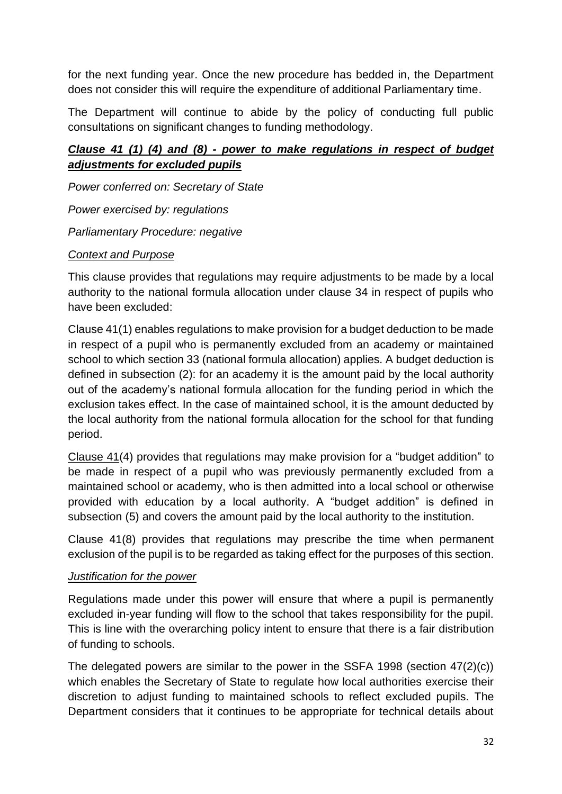for the next funding year. Once the new procedure has bedded in, the Department does not consider this will require the expenditure of additional Parliamentary time.

The Department will continue to abide by the policy of conducting full public consultations on significant changes to funding methodology.

# *Clause 41 (1) (4) and (8) - power to make regulations in respect of budget adjustments for excluded pupils*

*Power conferred on: Secretary of State*

*Power exercised by: regulations*

*Parliamentary Procedure: negative* 

#### *Context and Purpose*

This clause provides that regulations may require adjustments to be made by a local authority to the national formula allocation under clause 34 in respect of pupils who have been excluded:

Clause 41(1) enables regulations to make provision for a budget deduction to be made in respect of a pupil who is permanently excluded from an academy or maintained school to which section 33 (national formula allocation) applies. A budget deduction is defined in subsection (2): for an academy it is the amount paid by the local authority out of the academy's national formula allocation for the funding period in which the exclusion takes effect. In the case of maintained school, it is the amount deducted by the local authority from the national formula allocation for the school for that funding period.

Clause 41(4) provides that regulations may make provision for a "budget addition" to be made in respect of a pupil who was previously permanently excluded from a maintained school or academy, who is then admitted into a local school or otherwise provided with education by a local authority. A "budget addition" is defined in subsection (5) and covers the amount paid by the local authority to the institution.

Clause 41(8) provides that regulations may prescribe the time when permanent exclusion of the pupil is to be regarded as taking effect for the purposes of this section.

### *Justification for the power*

Regulations made under this power will ensure that where a pupil is permanently excluded in-year funding will flow to the school that takes responsibility for the pupil. This is line with the overarching policy intent to ensure that there is a fair distribution of funding to schools.

The delegated powers are similar to the power in the SSFA 1998 (section 47(2)(c)) which enables the Secretary of State to regulate how local authorities exercise their discretion to adjust funding to maintained schools to reflect excluded pupils. The Department considers that it continues to be appropriate for technical details about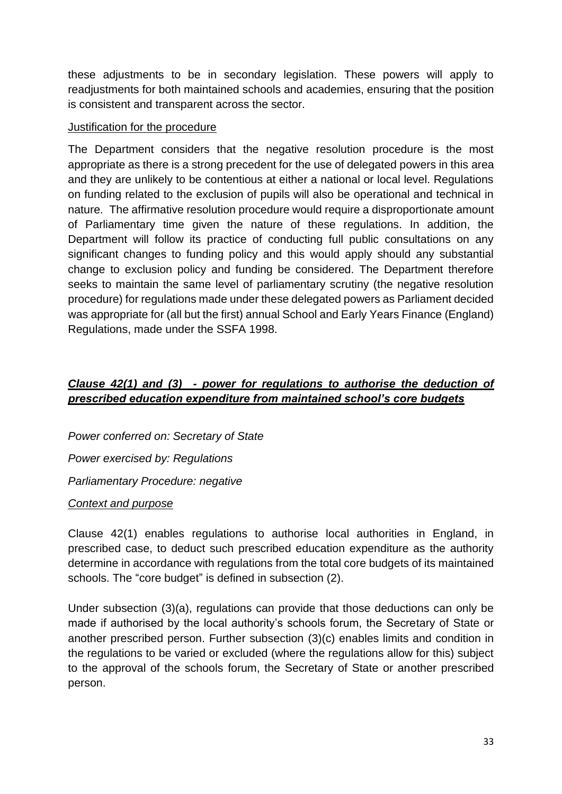these adjustments to be in secondary legislation. These powers will apply to readjustments for both maintained schools and academies, ensuring that the position is consistent and transparent across the sector.

#### Justification for the procedure

The Department considers that the negative resolution procedure is the most appropriate as there is a strong precedent for the use of delegated powers in this area and they are unlikely to be contentious at either a national or local level. Regulations on funding related to the exclusion of pupils will also be operational and technical in nature. The affirmative resolution procedure would require a disproportionate amount of Parliamentary time given the nature of these regulations. In addition, the Department will follow its practice of conducting full public consultations on any significant changes to funding policy and this would apply should any substantial change to exclusion policy and funding be considered. The Department therefore seeks to maintain the same level of parliamentary scrutiny (the negative resolution procedure) for regulations made under these delegated powers as Parliament decided was appropriate for (all but the first) annual School and Early Years Finance (England) Regulations, made under the SSFA 1998.

# *Clause 42(1) and (3) - power for regulations to authorise the deduction of prescribed education expenditure from maintained school's core budgets*

*Power conferred on: Secretary of State Power exercised by: Regulations Parliamentary Procedure: negative*

### *Context and purpose*

Clause 42(1) enables regulations to authorise local authorities in England, in prescribed case, to deduct such prescribed education expenditure as the authority determine in accordance with regulations from the total core budgets of its maintained schools. The "core budget" is defined in subsection (2).

Under subsection (3)(a), regulations can provide that those deductions can only be made if authorised by the local authority's schools forum, the Secretary of State or another prescribed person. Further subsection (3)(c) enables limits and condition in the regulations to be varied or excluded (where the regulations allow for this) subject to the approval of the schools forum, the Secretary of State or another prescribed person.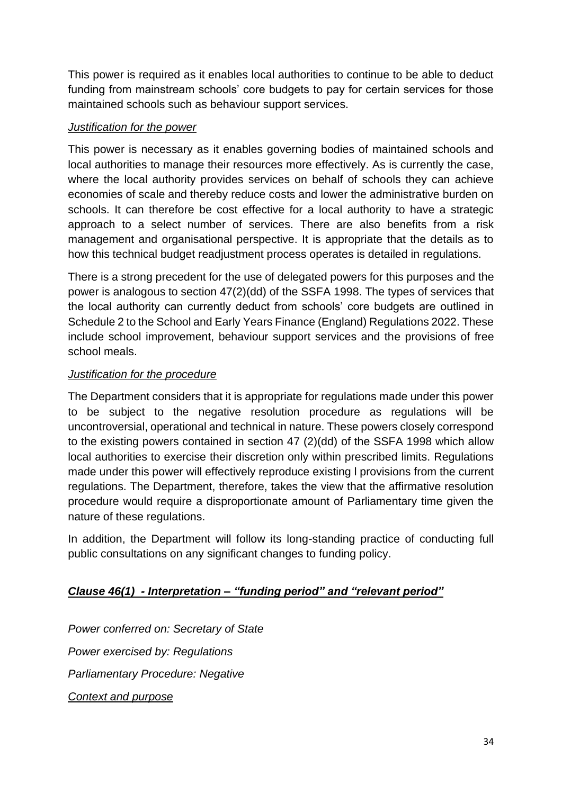This power is required as it enables local authorities to continue to be able to deduct funding from mainstream schools' core budgets to pay for certain services for those maintained schools such as behaviour support services.

### *Justification for the power*

This power is necessary as it enables governing bodies of maintained schools and local authorities to manage their resources more effectively. As is currently the case, where the local authority provides services on behalf of schools they can achieve economies of scale and thereby reduce costs and lower the administrative burden on schools. It can therefore be cost effective for a local authority to have a strategic approach to a select number of services. There are also benefits from a risk management and organisational perspective. It is appropriate that the details as to how this technical budget readjustment process operates is detailed in regulations.

There is a strong precedent for the use of delegated powers for this purposes and the power is analogous to section 47(2)(dd) of the SSFA 1998. The types of services that the local authority can currently deduct from schools' core budgets are outlined in Schedule 2 to the School and Early Years Finance (England) Regulations 2022. These include school improvement, behaviour support services and the provisions of free school meals.

# *Justification for the procedure*

The Department considers that it is appropriate for regulations made under this power to be subject to the negative resolution procedure as regulations will be uncontroversial, operational and technical in nature. These powers closely correspond to the existing powers contained in section 47 (2)(dd) of the SSFA 1998 which allow local authorities to exercise their discretion only within prescribed limits. Regulations made under this power will effectively reproduce existing l provisions from the current regulations. The Department, therefore, takes the view that the affirmative resolution procedure would require a disproportionate amount of Parliamentary time given the nature of these regulations.

In addition, the Department will follow its long-standing practice of conducting full public consultations on any significant changes to funding policy.

# *Clause 46(1) - Interpretation – "funding period" and "relevant period"*

*Power conferred on: Secretary of State Power exercised by: Regulations Parliamentary Procedure: Negative Context and purpose*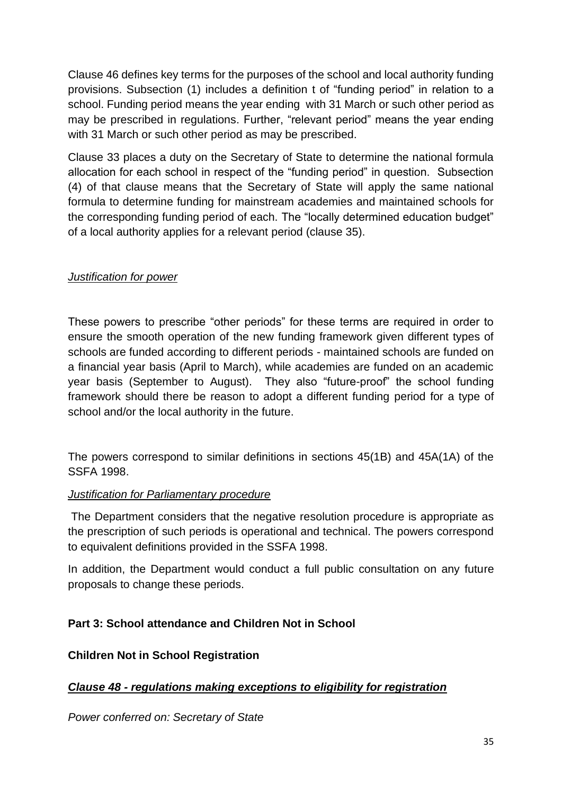Clause 46 defines key terms for the purposes of the school and local authority funding provisions. Subsection (1) includes a definition t of "funding period" in relation to a school. Funding period means the year ending with 31 March or such other period as may be prescribed in regulations. Further, "relevant period" means the year ending with 31 March or such other period as may be prescribed.

Clause 33 places a duty on the Secretary of State to determine the national formula allocation for each school in respect of the "funding period" in question. Subsection (4) of that clause means that the Secretary of State will apply the same national formula to determine funding for mainstream academies and maintained schools for the corresponding funding period of each. The "locally determined education budget" of a local authority applies for a relevant period (clause 35).

### *Justification for power*

These powers to prescribe "other periods" for these terms are required in order to ensure the smooth operation of the new funding framework given different types of schools are funded according to different periods - maintained schools are funded on a financial year basis (April to March), while academies are funded on an academic year basis (September to August). They also "future-proof" the school funding framework should there be reason to adopt a different funding period for a type of school and/or the local authority in the future.

The powers correspond to similar definitions in sections 45(1B) and 45A(1A) of the SSFA 1998.

### *Justification for Parliamentary procedure*

The Department considers that the negative resolution procedure is appropriate as the prescription of such periods is operational and technical. The powers correspond to equivalent definitions provided in the SSFA 1998.

In addition, the Department would conduct a full public consultation on any future proposals to change these periods.

# <span id="page-34-0"></span>**Part 3: School attendance and Children Not in School**

### <span id="page-34-1"></span>**Children Not in School Registration**

### *Clause 48 - regulations making exceptions to eligibility for registration*

*Power conferred on: Secretary of State*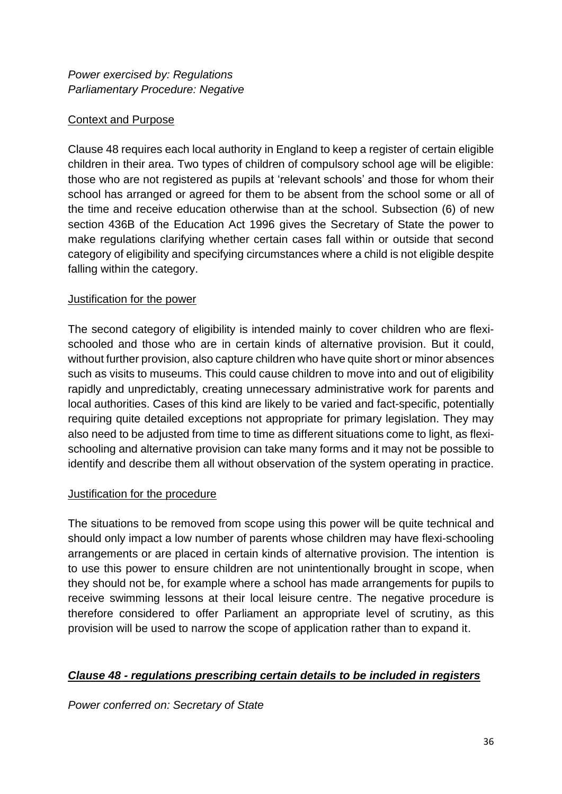### Context and Purpose

Clause 48 requires each local authority in England to keep a register of certain eligible children in their area. Two types of children of compulsory school age will be eligible: those who are not registered as pupils at 'relevant schools' and those for whom their school has arranged or agreed for them to be absent from the school some or all of the time and receive education otherwise than at the school. Subsection (6) of new section 436B of the Education Act 1996 gives the Secretary of State the power to make regulations clarifying whether certain cases fall within or outside that second category of eligibility and specifying circumstances where a child is not eligible despite falling within the category.

#### Justification for the power

The second category of eligibility is intended mainly to cover children who are flexischooled and those who are in certain kinds of alternative provision. But it could, without further provision, also capture children who have quite short or minor absences such as visits to museums. This could cause children to move into and out of eligibility rapidly and unpredictably, creating unnecessary administrative work for parents and local authorities. Cases of this kind are likely to be varied and fact-specific, potentially requiring quite detailed exceptions not appropriate for primary legislation. They may also need to be adjusted from time to time as different situations come to light, as flexischooling and alternative provision can take many forms and it may not be possible to identify and describe them all without observation of the system operating in practice.

### Justification for the procedure

The situations to be removed from scope using this power will be quite technical and should only impact a low number of parents whose children may have flexi-schooling arrangements or are placed in certain kinds of alternative provision. The intention is to use this power to ensure children are not unintentionally brought in scope, when they should not be, for example where a school has made arrangements for pupils to receive swimming lessons at their local leisure centre. The negative procedure is therefore considered to offer Parliament an appropriate level of scrutiny, as this provision will be used to narrow the scope of application rather than to expand it.

### *Clause 48 - regulations prescribing certain details to be included in registers*

*Power conferred on: Secretary of State*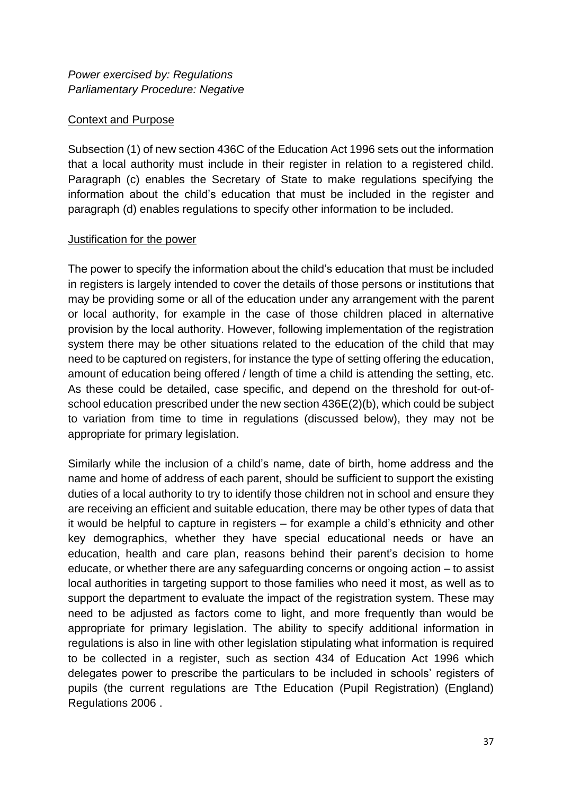### Context and Purpose

Subsection (1) of new section 436C of the Education Act 1996 sets out the information that a local authority must include in their register in relation to a registered child. Paragraph (c) enables the Secretary of State to make regulations specifying the information about the child's education that must be included in the register and paragraph (d) enables regulations to specify other information to be included.

#### Justification for the power

The power to specify the information about the child's education that must be included in registers is largely intended to cover the details of those persons or institutions that may be providing some or all of the education under any arrangement with the parent or local authority, for example in the case of those children placed in alternative provision by the local authority. However, following implementation of the registration system there may be other situations related to the education of the child that may need to be captured on registers, for instance the type of setting offering the education, amount of education being offered / length of time a child is attending the setting, etc. As these could be detailed, case specific, and depend on the threshold for out-ofschool education prescribed under the new section 436E(2)(b), which could be subject to variation from time to time in regulations (discussed below), they may not be appropriate for primary legislation.

Similarly while the inclusion of a child's name, date of birth, home address and the name and home of address of each parent, should be sufficient to support the existing duties of a local authority to try to identify those children not in school and ensure they are receiving an efficient and suitable education, there may be other types of data that it would be helpful to capture in registers – for example a child's ethnicity and other key demographics, whether they have special educational needs or have an education, health and care plan, reasons behind their parent's decision to home educate, or whether there are any safeguarding concerns or ongoing action – to assist local authorities in targeting support to those families who need it most, as well as to support the department to evaluate the impact of the registration system. These may need to be adjusted as factors come to light, and more frequently than would be appropriate for primary legislation. The ability to specify additional information in regulations is also in line with other legislation stipulating what information is required to be collected in a register, such as section 434 of Education Act 1996 which delegates power to prescribe the particulars to be included in schools' registers of pupils (the current regulations are Tthe [Education \(Pupil Registration\) \(England\)](https://www.legislation.gov.uk/uksi/2006/1751/contents/made)  [Regulations 2006 .](https://www.legislation.gov.uk/uksi/2006/1751/contents/made)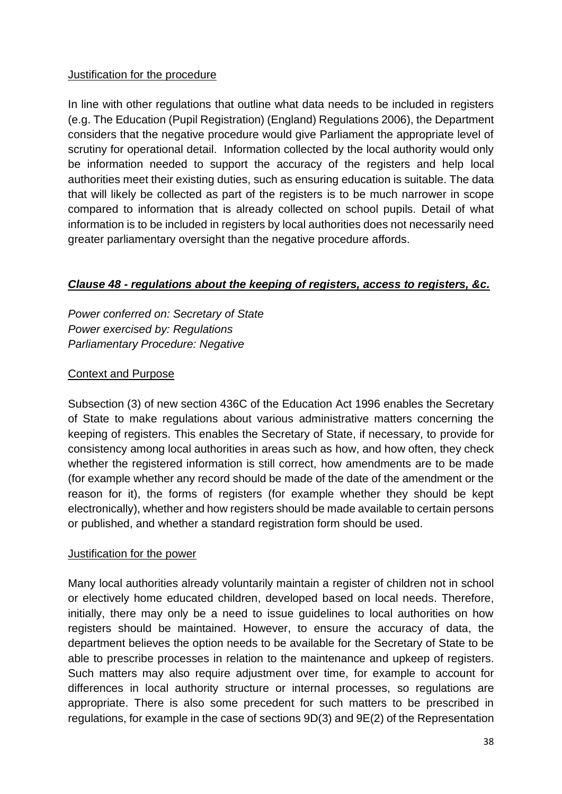### Justification for the procedure

In line with other regulations that outline what data needs to be included in registers (e.g. [The Education \(Pupil Registration\) \(England\) Regulations 2006\)](https://www.legislation.gov.uk/uksi/2006/1751/contents/made), the Department considers that the negative procedure would give Parliament the appropriate level of scrutiny for operational detail. Information collected by the local authority would only be information needed to support the accuracy of the registers and help local authorities meet their existing duties, such as ensuring education is suitable. The data that will likely be collected as part of the registers is to be much narrower in scope compared to information that is already collected on school pupils. Detail of what information is to be included in registers by local authorities does not necessarily need greater parliamentary oversight than the negative procedure affords.

# *Clause 48 - regulations about the keeping of registers, access to registers, &c.*

*Power conferred on: Secretary of State Power exercised by: Regulations Parliamentary Procedure: Negative*

#### Context and Purpose

Subsection (3) of new section 436C of the Education Act 1996 enables the Secretary of State to make regulations about various administrative matters concerning the keeping of registers. This enables the Secretary of State, if necessary, to provide for consistency among local authorities in areas such as how, and how often, they check whether the registered information is still correct, how amendments are to be made (for example whether any record should be made of the date of the amendment or the reason for it), the forms of registers (for example whether they should be kept electronically), whether and how registers should be made available to certain persons or published, and whether a standard registration form should be used.

#### Justification for the power

Many local authorities already voluntarily maintain a register of children not in school or electively home educated children, developed based on local needs. Therefore, initially, there may only be a need to issue guidelines to local authorities on how registers should be maintained. However, to ensure the accuracy of data, the department believes the option needs to be available for the Secretary of State to be able to prescribe processes in relation to the maintenance and upkeep of registers. Such matters may also require adjustment over time, for example to account for differences in local authority structure or internal processes, so regulations are appropriate. There is also some precedent for such matters to be prescribed in regulations, for example in the case of sections 9D(3) and 9E(2) of the Representation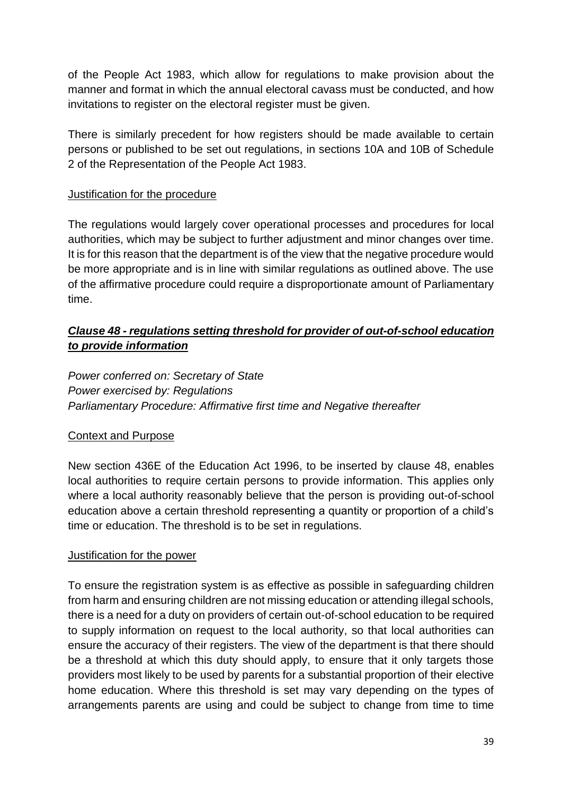of the People Act 1983, which allow for regulations to make provision about the manner and format in which the annual electoral cavass must be conducted, and how invitations to register on the electoral register must be given.

There is similarly precedent for how registers should be made available to certain persons or published to be set out regulations, in sections 10A and 10B of Schedule 2 of the Representation of the People Act 1983.

### Justification for the procedure

The regulations would largely cover operational processes and procedures for local authorities, which may be subject to further adjustment and minor changes over time. It is for this reason that the department is of the view that the negative procedure would be more appropriate and is in line with similar regulations as outlined above. The use of the affirmative procedure could require a disproportionate amount of Parliamentary time.

### *Clause 48 - regulations setting threshold for provider of out-of-school education to provide information*

*Power conferred on: Secretary of State Power exercised by: Regulations Parliamentary Procedure: Affirmative first time and Negative thereafter*

#### Context and Purpose

New section 436E of the Education Act 1996, to be inserted by clause 48, enables local authorities to require certain persons to provide information. This applies only where a local authority reasonably believe that the person is providing out-of-school education above a certain threshold representing a quantity or proportion of a child's time or education. The threshold is to be set in regulations.

#### Justification for the power

To ensure the registration system is as effective as possible in safeguarding children from harm and ensuring children are not missing education or attending illegal schools, there is a need for a duty on providers of certain out-of-school education to be required to supply information on request to the local authority, so that local authorities can ensure the accuracy of their registers. The view of the department is that there should be a threshold at which this duty should apply, to ensure that it only targets those providers most likely to be used by parents for a substantial proportion of their elective home education. Where this threshold is set may vary depending on the types of arrangements parents are using and could be subject to change from time to time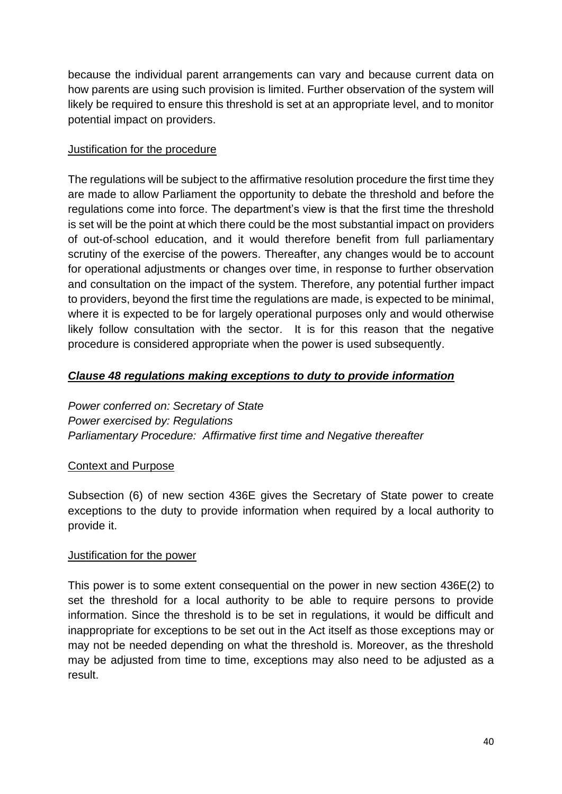because the individual parent arrangements can vary and because current data on how parents are using such provision is limited. Further observation of the system will likely be required to ensure this threshold is set at an appropriate level, and to monitor potential impact on providers.

#### Justification for the procedure

The regulations will be subject to the affirmative resolution procedure the first time they are made to allow Parliament the opportunity to debate the threshold and before the regulations come into force. The department's view is that the first time the threshold is set will be the point at which there could be the most substantial impact on providers of out-of-school education, and it would therefore benefit from full parliamentary scrutiny of the exercise of the powers. Thereafter, any changes would be to account for operational adjustments or changes over time, in response to further observation and consultation on the impact of the system. Therefore, any potential further impact to providers, beyond the first time the regulations are made, is expected to be minimal, where it is expected to be for largely operational purposes only and would otherwise likely follow consultation with the sector. It is for this reason that the negative procedure is considered appropriate when the power is used subsequently.

### *Clause 48 regulations making exceptions to duty to provide information*

*Power conferred on: Secretary of State Power exercised by: Regulations Parliamentary Procedure: Affirmative first time and Negative thereafter*

### Context and Purpose

Subsection (6) of new section 436E gives the Secretary of State power to create exceptions to the duty to provide information when required by a local authority to provide it.

### Justification for the power

This power is to some extent consequential on the power in new section 436E(2) to set the threshold for a local authority to be able to require persons to provide information. Since the threshold is to be set in regulations, it would be difficult and inappropriate for exceptions to be set out in the Act itself as those exceptions may or may not be needed depending on what the threshold is. Moreover, as the threshold may be adjusted from time to time, exceptions may also need to be adjusted as a result.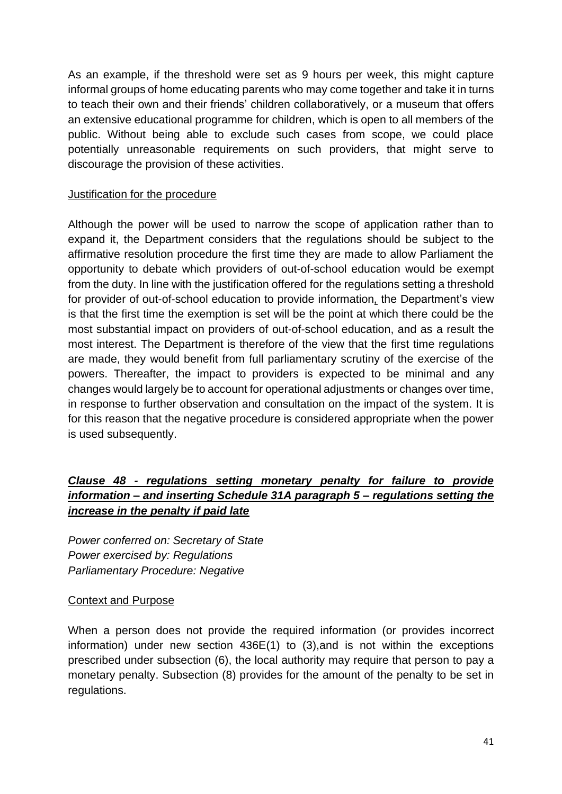As an example, if the threshold were set as 9 hours per week, this might capture informal groups of home educating parents who may come together and take it in turns to teach their own and their friends' children collaboratively, or a museum that offers an extensive educational programme for children, which is open to all members of the public. Without being able to exclude such cases from scope, we could place potentially unreasonable requirements on such providers, that might serve to discourage the provision of these activities.

### Justification for the procedure

Although the power will be used to narrow the scope of application rather than to expand it, the Department considers that the regulations should be subject to the affirmative resolution procedure the first time they are made to allow Parliament the opportunity to debate which providers of out-of-school education would be exempt from the duty. In line with the justification offered for the regulations setting a threshold for provider of out-of-school education to provide information*,* the Department's view is that the first time the exemption is set will be the point at which there could be the most substantial impact on providers of out-of-school education, and as a result the most interest. The Department is therefore of the view that the first time regulations are made, they would benefit from full parliamentary scrutiny of the exercise of the powers. Thereafter, the impact to providers is expected to be minimal and any changes would largely be to account for operational adjustments or changes over time, in response to further observation and consultation on the impact of the system. It is for this reason that the negative procedure is considered appropriate when the power is used subsequently.

# *Clause 48 - regulations setting monetary penalty for failure to provide information – and inserting Schedule 31A paragraph 5 – regulations setting the increase in the penalty if paid late*

*Power conferred on: Secretary of State Power exercised by: Regulations Parliamentary Procedure: Negative*

#### Context and Purpose

When a person does not provide the required information (or provides incorrect information) under new section 436E(1) to (3),and is not within the exceptions prescribed under subsection (6), the local authority may require that person to pay a monetary penalty. Subsection (8) provides for the amount of the penalty to be set in regulations.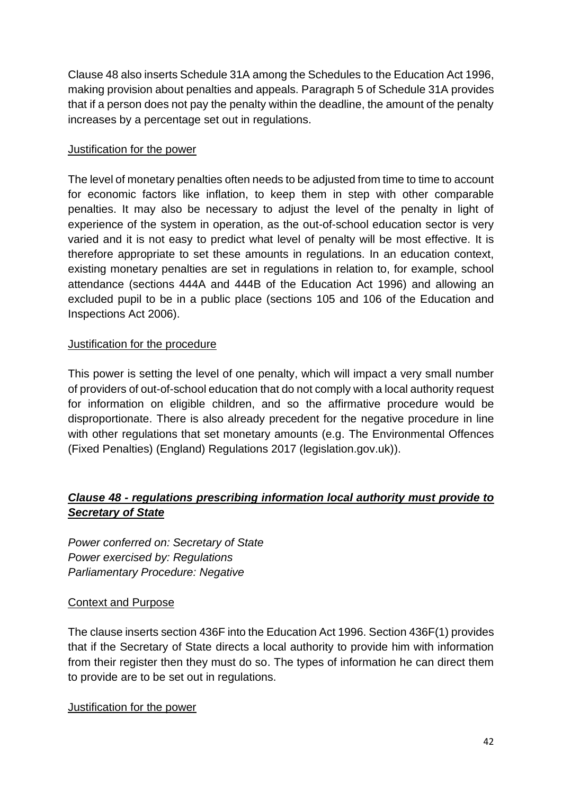Clause 48 also inserts Schedule 31A among the Schedules to the Education Act 1996, making provision about penalties and appeals. Paragraph 5 of Schedule 31A provides that if a person does not pay the penalty within the deadline, the amount of the penalty increases by a percentage set out in regulations.

#### Justification for the power

The level of monetary penalties often needs to be adjusted from time to time to account for economic factors like inflation, to keep them in step with other comparable penalties. It may also be necessary to adjust the level of the penalty in light of experience of the system in operation, as the out-of-school education sector is very varied and it is not easy to predict what level of penalty will be most effective. It is therefore appropriate to set these amounts in regulations. In an education context, existing monetary penalties are set in regulations in relation to, for example, school attendance (sections 444A and 444B of the Education Act 1996) and allowing an excluded pupil to be in a public place (sections 105 and 106 of the Education and Inspections Act 2006).

### Justification for the procedure

This power is setting the level of one penalty, which will impact a very small number of providers of out-of-school education that do not comply with a local authority request for information on eligible children, and so the affirmative procedure would be disproportionate. There is also already precedent for the negative procedure in line with other regulations that set monetary amounts (e.g. The Environmental Offences [\(Fixed Penalties\) \(England\) Regulations 2017 \(legislation.gov.uk\)\)](https://www.legislation.gov.uk/uksi/2017/1050/made?msclkid=ffc04cffb5bc11eca194894123fbef5a).

# *Clause 48 - regulations prescribing information local authority must provide to Secretary of State*

*Power conferred on: Secretary of State Power exercised by: Regulations Parliamentary Procedure: Negative*

### Context and Purpose

The clause inserts section 436F into the Education Act 1996. Section 436F(1) provides that if the Secretary of State directs a local authority to provide him with information from their register then they must do so. The types of information he can direct them to provide are to be set out in regulations.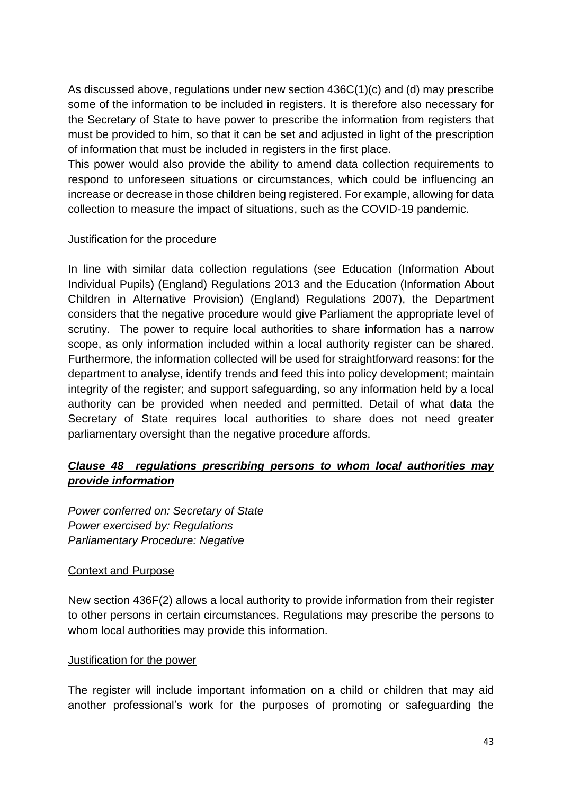As discussed above, regulations under new section 436C(1)(c) and (d) may prescribe some of the information to be included in registers. It is therefore also necessary for the Secretary of State to have power to prescribe the information from registers that must be provided to him, so that it can be set and adjusted in light of the prescription of information that must be included in registers in the first place.

This power would also provide the ability to amend data collection requirements to respond to unforeseen situations or circumstances, which could be influencing an increase or decrease in those children being registered. For example, allowing for data collection to measure the impact of situations, such as the COVID-19 pandemic.

#### Justification for the procedure

In line with similar data collection regulations (see Education (Information About Individual Pupils) (England) Regulations 2013 and the Education (Information About Children in Alternative Provision) (England) Regulations 2007), the Department considers that the negative procedure would give Parliament the appropriate level of scrutiny. The power to require local authorities to share information has a narrow scope, as only information included within a local authority register can be shared. Furthermore, the information collected will be used for straightforward reasons: for the department to analyse, identify trends and feed this into policy development; maintain integrity of the register; and support safeguarding, so any information held by a local authority can be provided when needed and permitted. Detail of what data the Secretary of State requires local authorities to share does not need greater parliamentary oversight than the negative procedure affords.

# *Clause 48 regulations prescribing persons to whom local authorities may provide information*

*Power conferred on: Secretary of State Power exercised by: Regulations Parliamentary Procedure: Negative*

### Context and Purpose

New section 436F(2) allows a local authority to provide information from their register to other persons in certain circumstances. Regulations may prescribe the persons to whom local authorities may provide this information.

#### Justification for the power

The register will include important information on a child or children that may aid another professional's work for the purposes of promoting or safeguarding the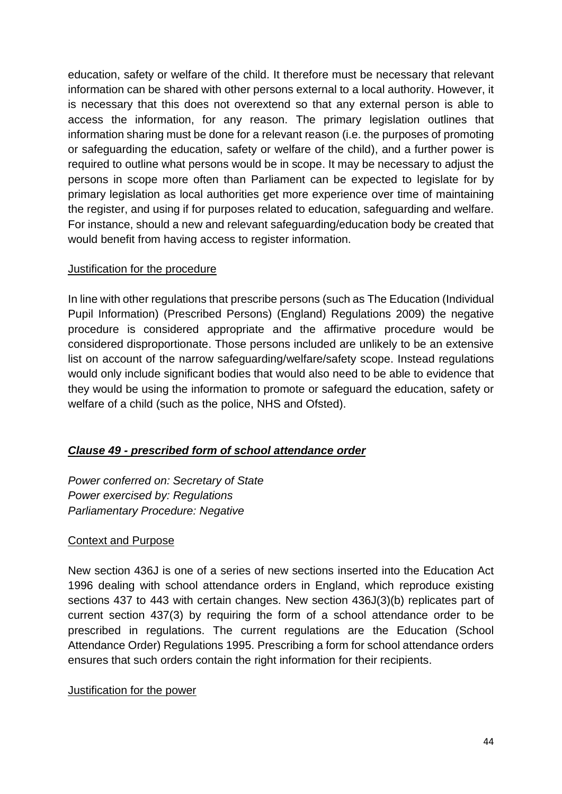education, safety or welfare of the child. It therefore must be necessary that relevant information can be shared with other persons external to a local authority. However, it is necessary that this does not overextend so that any external person is able to access the information, for any reason. The primary legislation outlines that information sharing must be done for a relevant reason (i.e. the purposes of promoting or safeguarding the education, safety or welfare of the child), and a further power is required to outline what persons would be in scope. It may be necessary to adjust the persons in scope more often than Parliament can be expected to legislate for by primary legislation as local authorities get more experience over time of maintaining the register, and using if for purposes related to education, safeguarding and welfare. For instance, should a new and relevant safeguarding/education body be created that would benefit from having access to register information.

### Justification for the procedure

In line with other regulations that prescribe persons (such as [The Education \(Individual](https://www.legislation.gov.uk/uksi/2009/1563/made)  [Pupil Information\) \(Prescribed Persons\) \(England\) Regulations 2009\)](https://www.legislation.gov.uk/uksi/2009/1563/made) the negative procedure is considered appropriate and the affirmative procedure would be considered disproportionate. Those persons included are unlikely to be an extensive list on account of the narrow safeguarding/welfare/safety scope. Instead regulations would only include significant bodies that would also need to be able to evidence that they would be using the information to promote or safeguard the education, safety or welfare of a child (such as the police, NHS and Ofsted).

# *Clause 49 - prescribed form of school attendance order*

*Power conferred on: Secretary of State Power exercised by: Regulations Parliamentary Procedure: Negative*

### Context and Purpose

New section 436J is one of a series of new sections inserted into the Education Act 1996 dealing with school attendance orders in England, which reproduce existing sections 437 to 443 with certain changes. New section 436J(3)(b) replicates part of current section 437(3) by requiring the form of a school attendance order to be prescribed in regulations. The current regulations are the Education (School Attendance Order) Regulations 1995. Prescribing a form for school attendance orders ensures that such orders contain the right information for their recipients.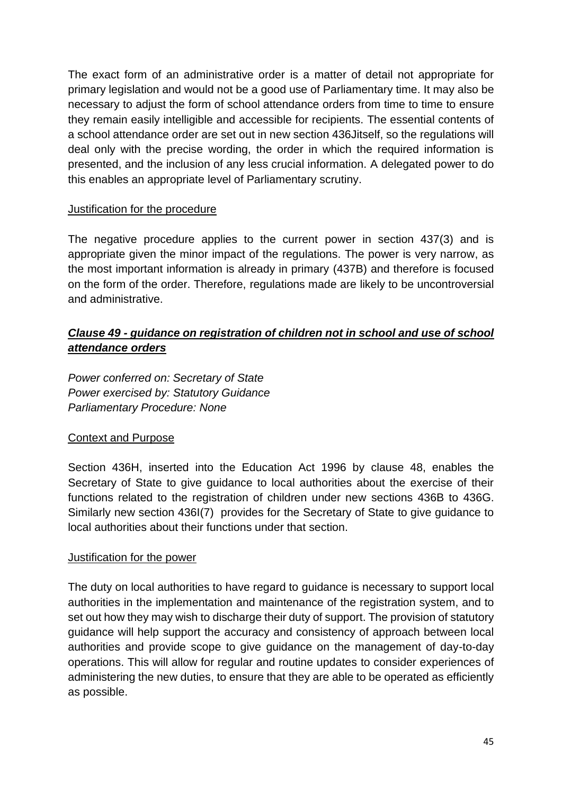The exact form of an administrative order is a matter of detail not appropriate for primary legislation and would not be a good use of Parliamentary time. It may also be necessary to adjust the form of school attendance orders from time to time to ensure they remain easily intelligible and accessible for recipients. The essential contents of a school attendance order are set out in new section 436Jitself, so the regulations will deal only with the precise wording, the order in which the required information is presented, and the inclusion of any less crucial information. A delegated power to do this enables an appropriate level of Parliamentary scrutiny.

#### Justification for the procedure

The negative procedure applies to the current power in section 437(3) and is appropriate given the minor impact of the regulations. The power is very narrow, as the most important information is already in primary (437B) and therefore is focused on the form of the order. Therefore, regulations made are likely to be uncontroversial and administrative.

# *Clause 49 - guidance on registration of children not in school and use of school attendance orders*

*Power conferred on: Secretary of State Power exercised by: Statutory Guidance Parliamentary Procedure: None*

### Context and Purpose

Section 436H, inserted into the Education Act 1996 by clause 48, enables the Secretary of State to give guidance to local authorities about the exercise of their functions related to the registration of children under new sections 436B to 436G. Similarly new section 436I(7) provides for the Secretary of State to give guidance to local authorities about their functions under that section.

#### Justification for the power

The duty on local authorities to have regard to guidance is necessary to support local authorities in the implementation and maintenance of the registration system, and to set out how they may wish to discharge their duty of support. The provision of statutory guidance will help support the accuracy and consistency of approach between local authorities and provide scope to give guidance on the management of day-to-day operations. This will allow for regular and routine updates to consider experiences of administering the new duties, to ensure that they are able to be operated as efficiently as possible.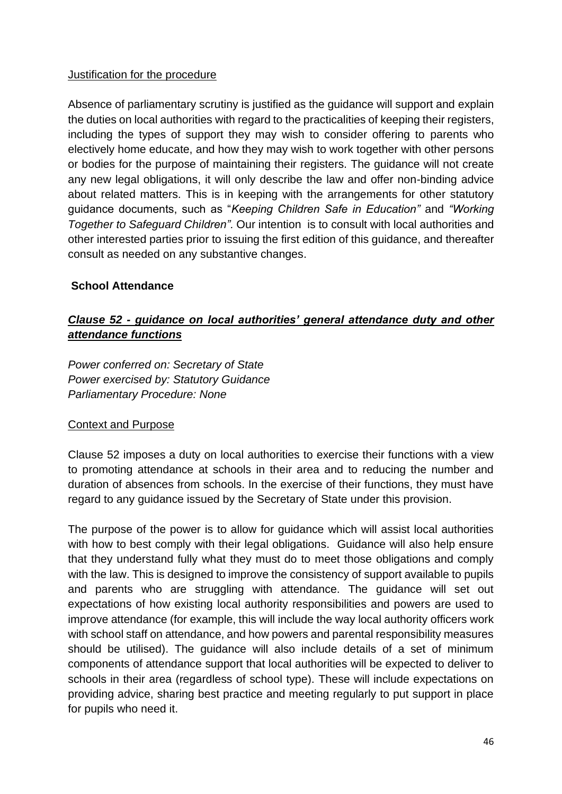#### Justification for the procedure

Absence of parliamentary scrutiny is justified as the guidance will support and explain the duties on local authorities with regard to the practicalities of keeping their registers, including the types of support they may wish to consider offering to parents who electively home educate, and how they may wish to work together with other persons or bodies for the purpose of maintaining their registers. The guidance will not create any new legal obligations, it will only describe the law and offer non-binding advice about related matters. This is in keeping with the arrangements for other statutory guidance documents, such as "*Keeping Children Safe in Education"* and *"Working Together to Safeguard Children".* Our intention is to consult with local authorities and other interested parties prior to issuing the first edition of this guidance, and thereafter consult as needed on any substantive changes.

#### **School Attendance**

# *Clause 52 - guidance on local authorities' general attendance duty and other attendance functions*

*Power conferred on: Secretary of State Power exercised by: Statutory Guidance Parliamentary Procedure: None*

#### Context and Purpose

Clause 52 imposes a duty on local authorities to exercise their functions with a view to promoting attendance at schools in their area and to reducing the number and duration of absences from schools. In the exercise of their functions, they must have regard to any guidance issued by the Secretary of State under this provision.

The purpose of the power is to allow for guidance which will assist local authorities with how to best comply with their legal obligations. Guidance will also help ensure that they understand fully what they must do to meet those obligations and comply with the law. This is designed to improve the consistency of support available to pupils and parents who are struggling with attendance. The guidance will set out expectations of how existing local authority responsibilities and powers are used to improve attendance (for example, this will include the way local authority officers work with school staff on attendance, and how powers and parental responsibility measures should be utilised). The guidance will also include details of a set of minimum components of attendance support that local authorities will be expected to deliver to schools in their area (regardless of school type). These will include expectations on providing advice, sharing best practice and meeting regularly to put support in place for pupils who need it.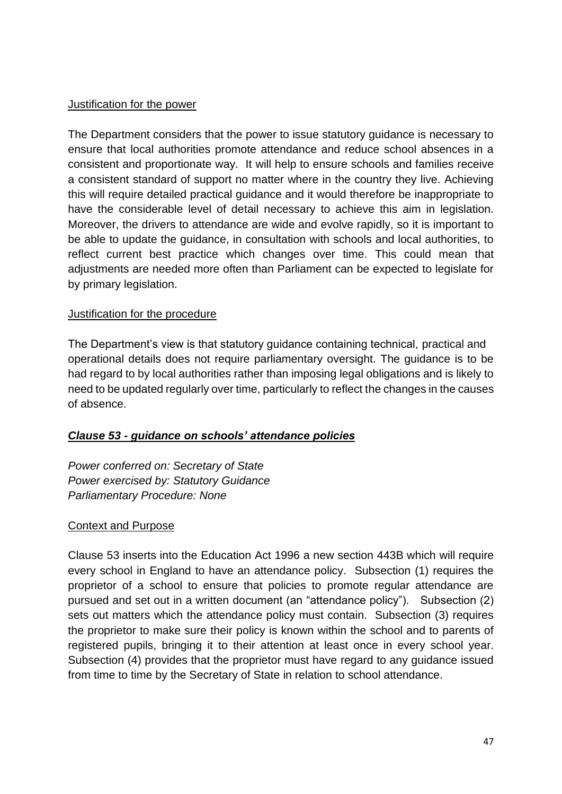#### Justification for the power

The Department considers that the power to issue statutory guidance is necessary to ensure that local authorities promote attendance and reduce school absences in a consistent and proportionate way. It will help to ensure schools and families receive a consistent standard of support no matter where in the country they live. Achieving this will require detailed practical guidance and it would therefore be inappropriate to have the considerable level of detail necessary to achieve this aim in legislation. Moreover, the drivers to attendance are wide and evolve rapidly, so it is important to be able to update the guidance, in consultation with schools and local authorities, to reflect current best practice which changes over time. This could mean that adjustments are needed more often than Parliament can be expected to legislate for by primary legislation.

#### Justification for the procedure

The Department's view is that statutory guidance containing technical, practical and operational details does not require parliamentary oversight. The guidance is to be had regard to by local authorities rather than imposing legal obligations and is likely to need to be updated regularly over time, particularly to reflect the changes in the causes of absence.

### *Clause 53 - guidance on schools' attendance policies*

*Power conferred on: Secretary of State Power exercised by: Statutory Guidance Parliamentary Procedure: None*

#### Context and Purpose

Clause 53 inserts into the Education Act 1996 a new section 443B which will require every school in England to have an attendance policy. Subsection (1) requires the proprietor of a school to ensure that policies to promote regular attendance are pursued and set out in a written document (an "attendance policy"). Subsection (2) sets out matters which the attendance policy must contain. Subsection (3) requires the proprietor to make sure their policy is known within the school and to parents of registered pupils, bringing it to their attention at least once in every school year. Subsection (4) provides that the proprietor must have regard to any guidance issued from time to time by the Secretary of State in relation to school attendance.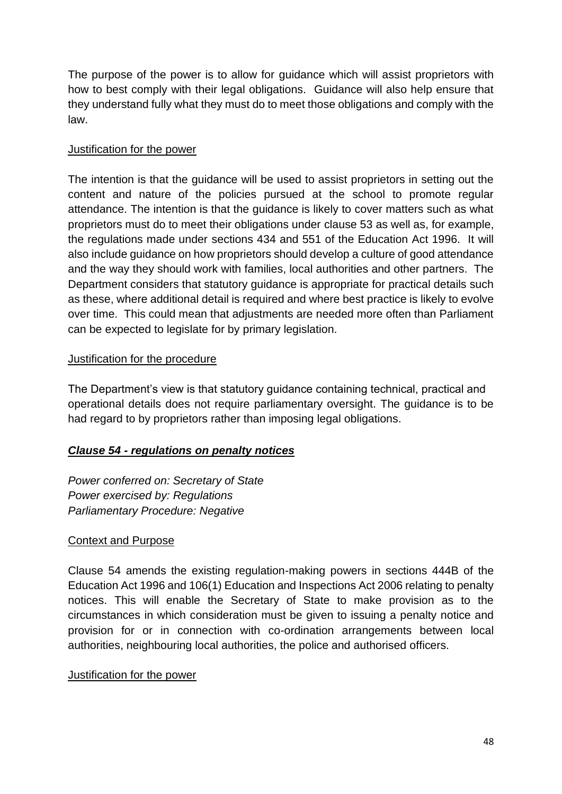The purpose of the power is to allow for guidance which will assist proprietors with how to best comply with their legal obligations. Guidance will also help ensure that they understand fully what they must do to meet those obligations and comply with the law.

### Justification for the power

The intention is that the guidance will be used to assist proprietors in setting out the content and nature of the policies pursued at the school to promote regular attendance. The intention is that the guidance is likely to cover matters such as what proprietors must do to meet their obligations under clause 53 as well as, for example, the regulations made under sections 434 and 551 of the Education Act 1996. It will also include guidance on how proprietors should develop a culture of good attendance and the way they should work with families, local authorities and other partners. The Department considers that statutory guidance is appropriate for practical details such as these, where additional detail is required and where best practice is likely to evolve over time. This could mean that adjustments are needed more often than Parliament can be expected to legislate for by primary legislation.

# Justification for the procedure

The Department's view is that statutory guidance containing technical, practical and operational details does not require parliamentary oversight. The guidance is to be had regard to by proprietors rather than imposing legal obligations.

# *Clause 54 - regulations on penalty notices*

*Power conferred on: Secretary of State Power exercised by: Regulations Parliamentary Procedure: Negative*

### Context and Purpose

Clause 54 amends the existing regulation-making powers in sections 444B of the Education Act 1996 and 106(1) Education and Inspections Act 2006 relating to penalty notices. This will enable the Secretary of State to make provision as to the circumstances in which consideration must be given to issuing a penalty notice and provision for or in connection with co-ordination arrangements between local authorities, neighbouring local authorities, the police and authorised officers.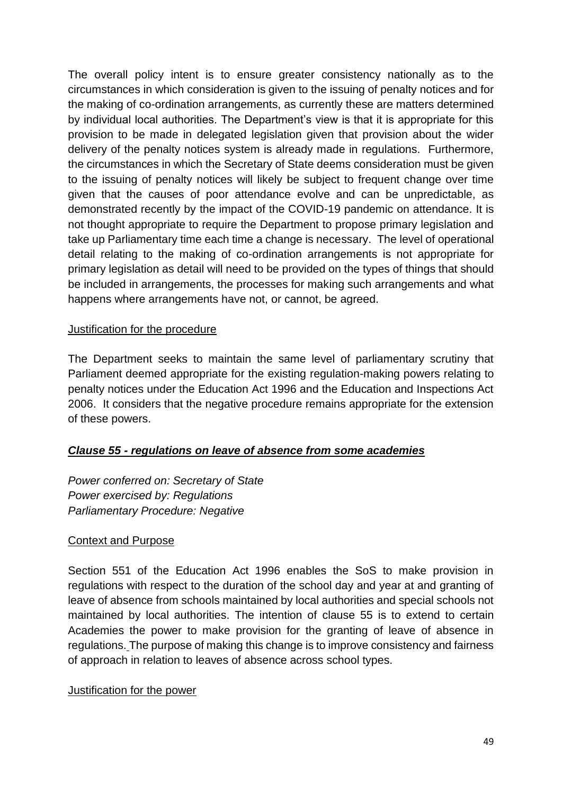The overall policy intent is to ensure greater consistency nationally as to the circumstances in which consideration is given to the issuing of penalty notices and for the making of co-ordination arrangements, as currently these are matters determined by individual local authorities. The Department's view is that it is appropriate for this provision to be made in delegated legislation given that provision about the wider delivery of the penalty notices system is already made in regulations. Furthermore, the circumstances in which the Secretary of State deems consideration must be given to the issuing of penalty notices will likely be subject to frequent change over time given that the causes of poor attendance evolve and can be unpredictable, as demonstrated recently by the impact of the COVID-19 pandemic on attendance. It is not thought appropriate to require the Department to propose primary legislation and take up Parliamentary time each time a change is necessary. The level of operational detail relating to the making of co-ordination arrangements is not appropriate for primary legislation as detail will need to be provided on the types of things that should be included in arrangements, the processes for making such arrangements and what happens where arrangements have not, or cannot, be agreed.

#### Justification for the procedure

The Department seeks to maintain the same level of parliamentary scrutiny that Parliament deemed appropriate for the existing regulation-making powers relating to penalty notices under the Education Act 1996 and the Education and Inspections Act 2006. It considers that the negative procedure remains appropriate for the extension of these powers.

### *Clause 55 - regulations on leave of absence from some academies*

*Power conferred on: Secretary of State Power exercised by: Regulations Parliamentary Procedure: Negative*

#### Context and Purpose

Section 551 of the Education Act 1996 enables the SoS to make provision in regulations with respect to the duration of the school day and year at and granting of leave of absence from schools maintained by local authorities and special schools not maintained by local authorities. The intention of clause 55 is to extend to certain Academies the power to make provision for the granting of leave of absence in regulations. The purpose of making this change is to improve consistency and fairness of approach in relation to leaves of absence across school types.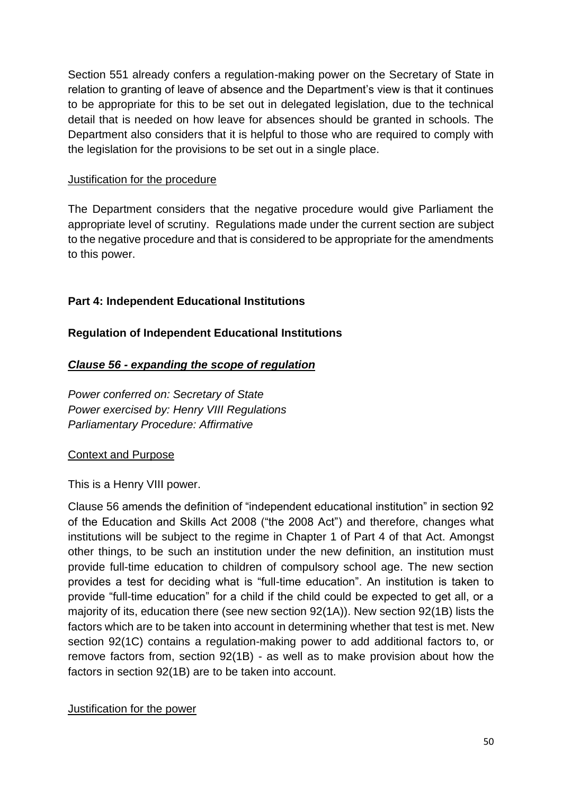Section 551 already confers a regulation-making power on the Secretary of State in relation to granting of leave of absence and the Department's view is that it continues to be appropriate for this to be set out in delegated legislation, due to the technical detail that is needed on how leave for absences should be granted in schools. The Department also considers that it is helpful to those who are required to comply with the legislation for the provisions to be set out in a single place.

#### Justification for the procedure

The Department considers that the negative procedure would give Parliament the appropriate level of scrutiny. Regulations made under the current section are subject to the negative procedure and that is considered to be appropriate for the amendments to this power.

### <span id="page-49-0"></span>**Part 4: Independent Educational Institutions**

### <span id="page-49-1"></span>**Regulation of Independent Educational Institutions**

### *Clause 56 - expanding the scope of regulation*

*Power conferred on: Secretary of State Power exercised by: Henry VIII Regulations Parliamentary Procedure: Affirmative*

### Context and Purpose

This is a Henry VIII power.

Clause 56 amends the definition of "independent educational institution" in section 92 of the Education and Skills Act 2008 ("the 2008 Act") and therefore, changes what institutions will be subject to the regime in Chapter 1 of Part 4 of that Act. Amongst other things, to be such an institution under the new definition, an institution must provide full-time education to children of compulsory school age. The new section provides a test for deciding what is "full-time education". An institution is taken to provide "full-time education" for a child if the child could be expected to get all, or a majority of its, education there (see new section 92(1A)). New section 92(1B) lists the factors which are to be taken into account in determining whether that test is met. New section 92(1C) contains a regulation-making power to add additional factors to, or remove factors from, section 92(1B) - as well as to make provision about how the factors in section 92(1B) are to be taken into account.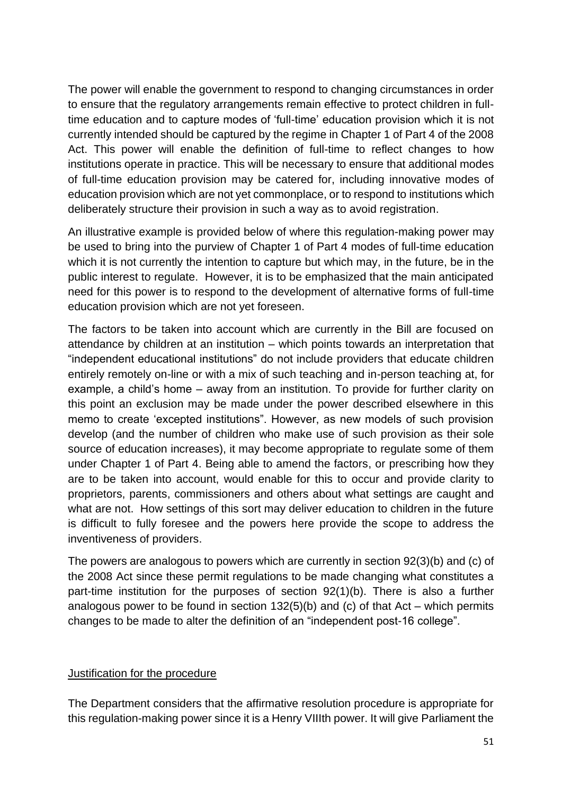The power will enable the government to respond to changing circumstances in order to ensure that the regulatory arrangements remain effective to protect children in fulltime education and to capture modes of 'full-time' education provision which it is not currently intended should be captured by the regime in Chapter 1 of Part 4 of the 2008 Act. This power will enable the definition of full-time to reflect changes to how institutions operate in practice. This will be necessary to ensure that additional modes of full-time education provision may be catered for, including innovative modes of education provision which are not yet commonplace, or to respond to institutions which deliberately structure their provision in such a way as to avoid registration.

An illustrative example is provided below of where this regulation-making power may be used to bring into the purview of Chapter 1 of Part 4 modes of full-time education which it is not currently the intention to capture but which may, in the future, be in the public interest to regulate. However, it is to be emphasized that the main anticipated need for this power is to respond to the development of alternative forms of full-time education provision which are not yet foreseen.

The factors to be taken into account which are currently in the Bill are focused on attendance by children at an institution – which points towards an interpretation that "independent educational institutions" do not include providers that educate children entirely remotely on-line or with a mix of such teaching and in-person teaching at, for example, a child's home – away from an institution. To provide for further clarity on this point an exclusion may be made under the power described elsewhere in this memo to create 'excepted institutions". However, as new models of such provision develop (and the number of children who make use of such provision as their sole source of education increases), it may become appropriate to regulate some of them under Chapter 1 of Part 4. Being able to amend the factors, or prescribing how they are to be taken into account, would enable for this to occur and provide clarity to proprietors, parents, commissioners and others about what settings are caught and what are not. How settings of this sort may deliver education to children in the future is difficult to fully foresee and the powers here provide the scope to address the inventiveness of providers.

The powers are analogous to powers which are currently in section 92(3)(b) and (c) of the 2008 Act since these permit regulations to be made changing what constitutes a part-time institution for the purposes of section 92(1)(b). There is also a further analogous power to be found in section 132(5)(b) and (c) of that Act – which permits changes to be made to alter the definition of an "independent post-16 college".

#### Justification for the procedure

The Department considers that the affirmative resolution procedure is appropriate for this regulation-making power since it is a Henry VIIIth power. It will give Parliament the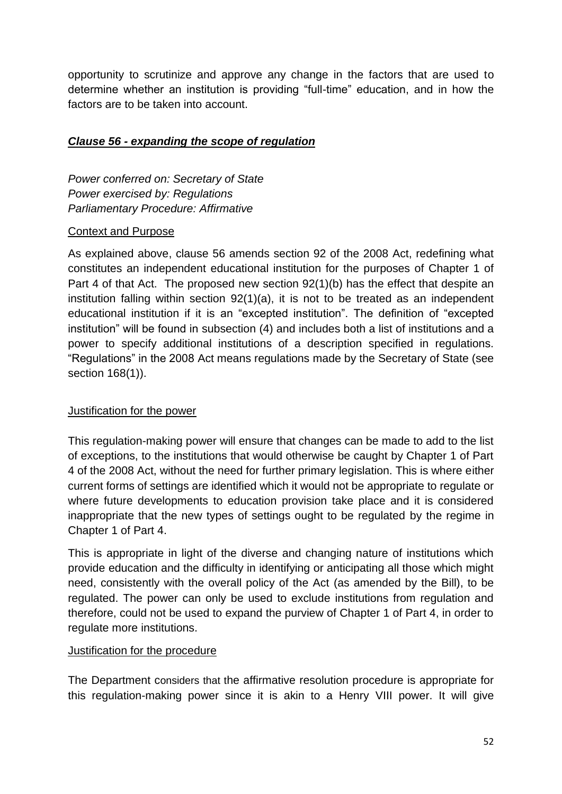opportunity to scrutinize and approve any change in the factors that are used to determine whether an institution is providing "full-time" education, and in how the factors are to be taken into account.

### *Clause 56 - expanding the scope of regulation*

*Power conferred on: Secretary of State Power exercised by: Regulations Parliamentary Procedure: Affirmative*

### Context and Purpose

As explained above, clause 56 amends section 92 of the 2008 Act, redefining what constitutes an independent educational institution for the purposes of Chapter 1 of Part 4 of that Act. The proposed new section 92(1)(b) has the effect that despite an institution falling within section 92(1)(a), it is not to be treated as an independent educational institution if it is an "excepted institution". The definition of "excepted institution" will be found in subsection (4) and includes both a list of institutions and a power to specify additional institutions of a description specified in regulations. "Regulations" in the 2008 Act means regulations made by the Secretary of State (see section 168(1)).

### Justification for the power

This regulation-making power will ensure that changes can be made to add to the list of exceptions, to the institutions that would otherwise be caught by Chapter 1 of Part 4 of the 2008 Act, without the need for further primary legislation. This is where either current forms of settings are identified which it would not be appropriate to regulate or where future developments to education provision take place and it is considered inappropriate that the new types of settings ought to be regulated by the regime in Chapter 1 of Part 4.

This is appropriate in light of the diverse and changing nature of institutions which provide education and the difficulty in identifying or anticipating all those which might need, consistently with the overall policy of the Act (as amended by the Bill), to be regulated. The power can only be used to exclude institutions from regulation and therefore, could not be used to expand the purview of Chapter 1 of Part 4, in order to regulate more institutions.

#### Justification for the procedure

The Department considers that the affirmative resolution procedure is appropriate for this regulation-making power since it is akin to a Henry VIII power. It will give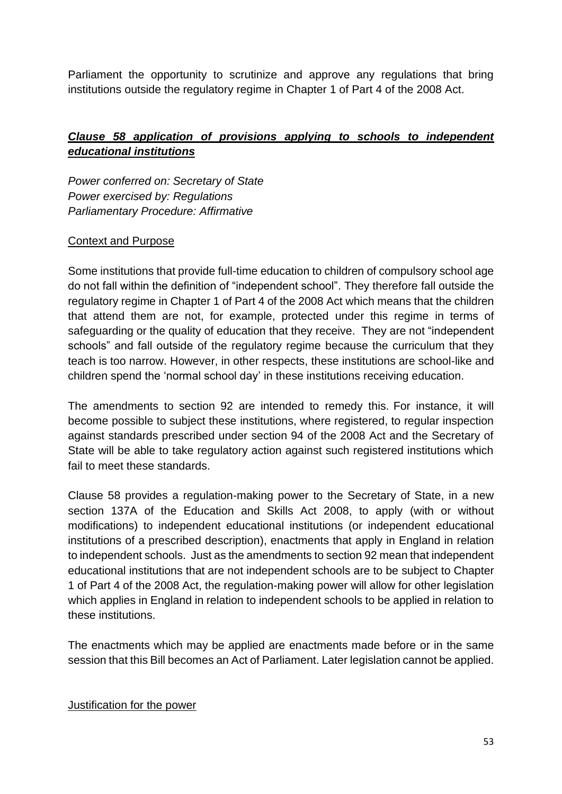Parliament the opportunity to scrutinize and approve any regulations that bring institutions outside the regulatory regime in Chapter 1 of Part 4 of the 2008 Act.

# *Clause 58 application of provisions applying to schools to independent educational institutions*

*Power conferred on: Secretary of State Power exercised by: Regulations Parliamentary Procedure: Affirmative* 

#### Context and Purpose

Some institutions that provide full-time education to children of compulsory school age do not fall within the definition of "independent school". They therefore fall outside the regulatory regime in Chapter 1 of Part 4 of the 2008 Act which means that the children that attend them are not, for example, protected under this regime in terms of safeguarding or the quality of education that they receive. They are not "independent schools" and fall outside of the regulatory regime because the curriculum that they teach is too narrow. However, in other respects, these institutions are school-like and children spend the 'normal school day' in these institutions receiving education.

The amendments to section 92 are intended to remedy this. For instance, it will become possible to subject these institutions, where registered, to regular inspection against standards prescribed under section 94 of the 2008 Act and the Secretary of State will be able to take regulatory action against such registered institutions which fail to meet these standards.

Clause 58 provides a regulation-making power to the Secretary of State, in a new section 137A of the Education and Skills Act 2008, to apply (with or without modifications) to independent educational institutions (or independent educational institutions of a prescribed description), enactments that apply in England in relation to independent schools. Just as the amendments to section 92 mean that independent educational institutions that are not independent schools are to be subject to Chapter 1 of Part 4 of the 2008 Act, the regulation-making power will allow for other legislation which applies in England in relation to independent schools to be applied in relation to these institutions.

The enactments which may be applied are enactments made before or in the same session that this Bill becomes an Act of Parliament. Later legislation cannot be applied.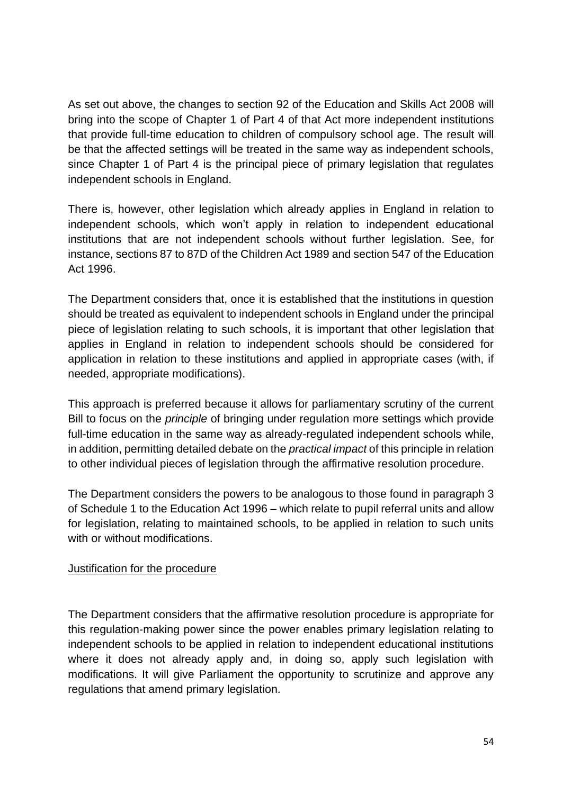As set out above, the changes to section 92 of the Education and Skills Act 2008 will bring into the scope of Chapter 1 of Part 4 of that Act more independent institutions that provide full-time education to children of compulsory school age. The result will be that the affected settings will be treated in the same way as independent schools, since Chapter 1 of Part 4 is the principal piece of primary legislation that regulates independent schools in England.

There is, however, other legislation which already applies in England in relation to independent schools, which won't apply in relation to independent educational institutions that are not independent schools without further legislation. See, for instance, sections 87 to 87D of the Children Act 1989 and section 547 of the Education Act 1996.

The Department considers that, once it is established that the institutions in question should be treated as equivalent to independent schools in England under the principal piece of legislation relating to such schools, it is important that other legislation that applies in England in relation to independent schools should be considered for application in relation to these institutions and applied in appropriate cases (with, if needed, appropriate modifications).

This approach is preferred because it allows for parliamentary scrutiny of the current Bill to focus on the *principle* of bringing under regulation more settings which provide full-time education in the same way as already-regulated independent schools while, in addition, permitting detailed debate on the *practical impact* of this principle in relation to other individual pieces of legislation through the affirmative resolution procedure.

The Department considers the powers to be analogous to those found in paragraph 3 of Schedule 1 to the Education Act 1996 – which relate to pupil referral units and allow for legislation, relating to maintained schools, to be applied in relation to such units with or without modifications.

### Justification for the procedure

The Department considers that the affirmative resolution procedure is appropriate for this regulation-making power since the power enables primary legislation relating to independent schools to be applied in relation to independent educational institutions where it does not already apply and, in doing so, apply such legislation with modifications. It will give Parliament the opportunity to scrutinize and approve any regulations that amend primary legislation.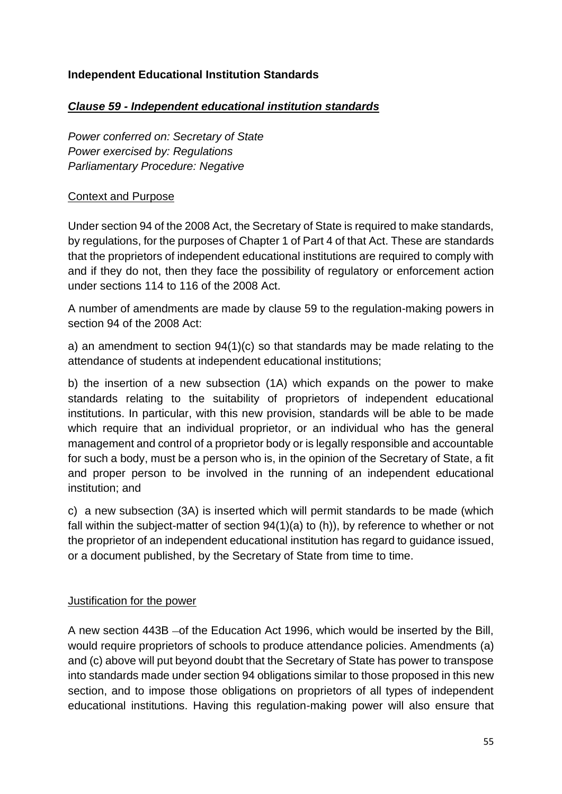### <span id="page-54-0"></span>**Independent Educational Institution Standards**

### *Clause 59 - Independent educational institution standards*

*Power conferred on: Secretary of State Power exercised by: Regulations Parliamentary Procedure: Negative* 

### Context and Purpose

Under section 94 of the 2008 Act, the Secretary of State is required to make standards, by regulations, for the purposes of Chapter 1 of Part 4 of that Act. These are standards that the proprietors of independent educational institutions are required to comply with and if they do not, then they face the possibility of regulatory or enforcement action under sections 114 to 116 of the 2008 Act.

A number of amendments are made by clause 59 to the regulation-making powers in section 94 of the 2008 Act:

a) an amendment to section 94(1)(c) so that standards may be made relating to the attendance of students at independent educational institutions;

b) the insertion of a new subsection (1A) which expands on the power to make standards relating to the suitability of proprietors of independent educational institutions. In particular, with this new provision, standards will be able to be made which require that an individual proprietor, or an individual who has the general management and control of a proprietor body or is legally responsible and accountable for such a body, must be a person who is, in the opinion of the Secretary of State, a fit and proper person to be involved in the running of an independent educational institution; and

c) a new subsection (3A) is inserted which will permit standards to be made (which fall within the subject-matter of section 94(1)(a) to (h)), by reference to whether or not the proprietor of an independent educational institution has regard to guidance issued, or a document published, by the Secretary of State from time to time.

### Justification for the power

A new section 443B – of the Education Act 1996, which would be inserted by the Bill, would require proprietors of schools to produce attendance policies. Amendments (a) and (c) above will put beyond doubt that the Secretary of State has power to transpose into standards made under section 94 obligations similar to those proposed in this new section, and to impose those obligations on proprietors of all types of independent educational institutions. Having this regulation-making power will also ensure that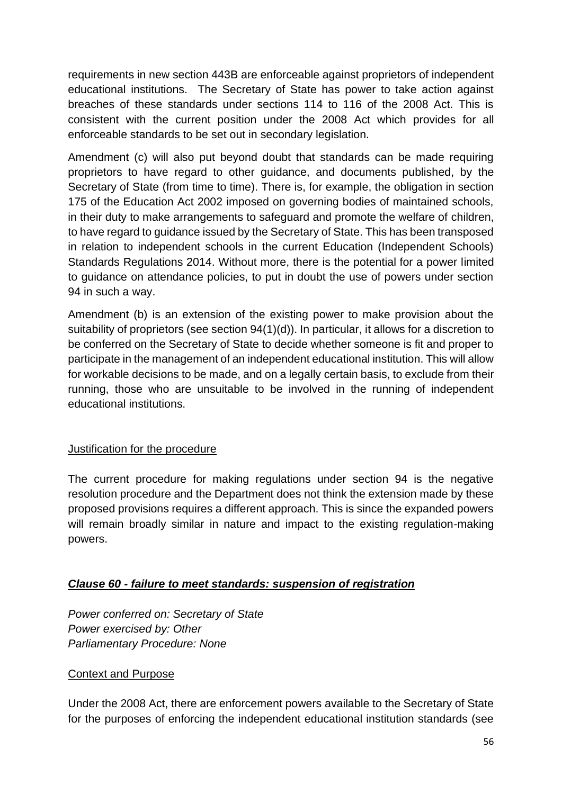requirements in new section 443B are enforceable against proprietors of independent educational institutions. The Secretary of State has power to take action against breaches of these standards under sections 114 to 116 of the 2008 Act. This is consistent with the current position under the 2008 Act which provides for all enforceable standards to be set out in secondary legislation.

Amendment (c) will also put beyond doubt that standards can be made requiring proprietors to have regard to other guidance, and documents published, by the Secretary of State (from time to time). There is, for example, the obligation in section 175 of the Education Act 2002 imposed on governing bodies of maintained schools, in their duty to make arrangements to safeguard and promote the welfare of children, to have regard to guidance issued by the Secretary of State. This has been transposed in relation to independent schools in the current Education (Independent Schools) Standards Regulations 2014. Without more, there is the potential for a power limited to guidance on attendance policies, to put in doubt the use of powers under section 94 in such a way.

Amendment (b) is an extension of the existing power to make provision about the suitability of proprietors (see section 94(1)(d)). In particular, it allows for a discretion to be conferred on the Secretary of State to decide whether someone is fit and proper to participate in the management of an independent educational institution. This will allow for workable decisions to be made, and on a legally certain basis, to exclude from their running, those who are unsuitable to be involved in the running of independent educational institutions.

### Justification for the procedure

The current procedure for making regulations under section 94 is the negative resolution procedure and the Department does not think the extension made by these proposed provisions requires a different approach. This is since the expanded powers will remain broadly similar in nature and impact to the existing regulation-making powers.

### *Clause 60 - failure to meet standards: suspension of registration*

*Power conferred on: Secretary of State Power exercised by: Other Parliamentary Procedure: None*

### Context and Purpose

Under the 2008 Act, there are enforcement powers available to the Secretary of State for the purposes of enforcing the independent educational institution standards (see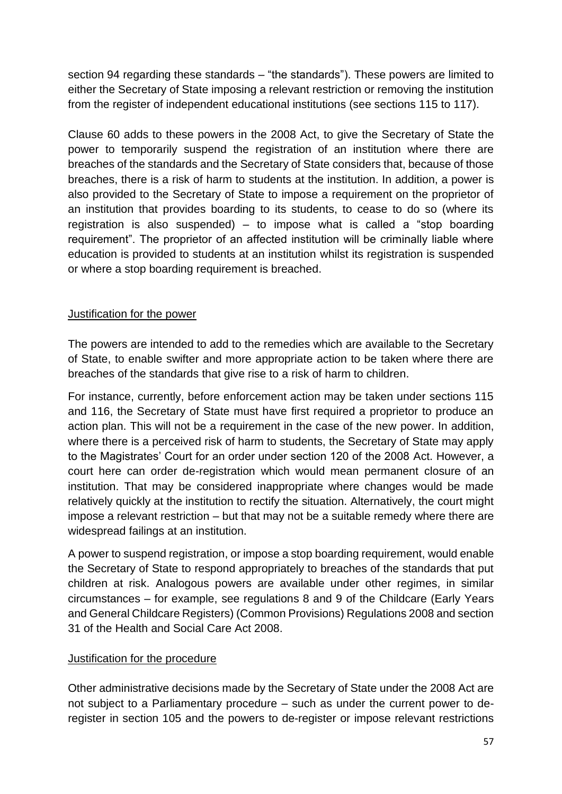section 94 regarding these standards – "the standards"). These powers are limited to either the Secretary of State imposing a relevant restriction or removing the institution from the register of independent educational institutions (see sections 115 to 117).

Clause 60 adds to these powers in the 2008 Act, to give the Secretary of State the power to temporarily suspend the registration of an institution where there are breaches of the standards and the Secretary of State considers that, because of those breaches, there is a risk of harm to students at the institution. In addition, a power is also provided to the Secretary of State to impose a requirement on the proprietor of an institution that provides boarding to its students, to cease to do so (where its registration is also suspended) – to impose what is called a "stop boarding requirement". The proprietor of an affected institution will be criminally liable where education is provided to students at an institution whilst its registration is suspended or where a stop boarding requirement is breached.

### Justification for the power

The powers are intended to add to the remedies which are available to the Secretary of State, to enable swifter and more appropriate action to be taken where there are breaches of the standards that give rise to a risk of harm to children.

For instance, currently, before enforcement action may be taken under sections 115 and 116, the Secretary of State must have first required a proprietor to produce an action plan. This will not be a requirement in the case of the new power. In addition, where there is a perceived risk of harm to students, the Secretary of State may apply to the Magistrates' Court for an order under section 120 of the 2008 Act. However, a court here can order de-registration which would mean permanent closure of an institution. That may be considered inappropriate where changes would be made relatively quickly at the institution to rectify the situation. Alternatively, the court might impose a relevant restriction – but that may not be a suitable remedy where there are widespread failings at an institution.

A power to suspend registration, or impose a stop boarding requirement, would enable the Secretary of State to respond appropriately to breaches of the standards that put children at risk. Analogous powers are available under other regimes, in similar circumstances – for example, see regulations 8 and 9 of the Childcare (Early Years and General Childcare Registers) (Common Provisions) Regulations 2008 and section 31 of the Health and Social Care Act 2008.

### Justification for the procedure

Other administrative decisions made by the Secretary of State under the 2008 Act are not subject to a Parliamentary procedure – such as under the current power to deregister in section 105 and the powers to de-register or impose relevant restrictions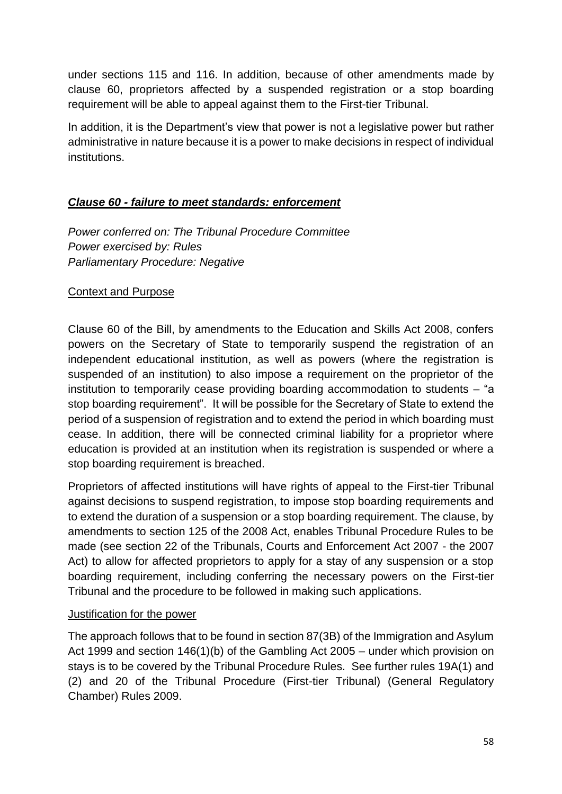under sections 115 and 116. In addition, because of other amendments made by clause 60, proprietors affected by a suspended registration or a stop boarding requirement will be able to appeal against them to the First-tier Tribunal.

In addition, it is the Department's view that power is not a legislative power but rather administrative in nature because it is a power to make decisions in respect of individual institutions.

# *Clause 60 - failure to meet standards: enforcement*

*Power conferred on: The Tribunal Procedure Committee Power exercised by: Rules Parliamentary Procedure: Negative*

### Context and Purpose

Clause 60 of the Bill, by amendments to the Education and Skills Act 2008, confers powers on the Secretary of State to temporarily suspend the registration of an independent educational institution, as well as powers (where the registration is suspended of an institution) to also impose a requirement on the proprietor of the institution to temporarily cease providing boarding accommodation to students – "a stop boarding requirement". It will be possible for the Secretary of State to extend the period of a suspension of registration and to extend the period in which boarding must cease. In addition, there will be connected criminal liability for a proprietor where education is provided at an institution when its registration is suspended or where a stop boarding requirement is breached.

Proprietors of affected institutions will have rights of appeal to the First-tier Tribunal against decisions to suspend registration, to impose stop boarding requirements and to extend the duration of a suspension or a stop boarding requirement. The clause, by amendments to section 125 of the 2008 Act, enables Tribunal Procedure Rules to be made (see section 22 of the Tribunals, Courts and Enforcement Act 2007 - the 2007 Act) to allow for affected proprietors to apply for a stay of any suspension or a stop boarding requirement, including conferring the necessary powers on the First-tier Tribunal and the procedure to be followed in making such applications.

#### Justification for the power

The approach follows that to be found in section 87(3B) of the Immigration and Asylum Act 1999 and section 146(1)(b) of the Gambling Act 2005 – under which provision on stays is to be covered by the Tribunal Procedure Rules. See further rules 19A(1) and (2) and 20 of the Tribunal Procedure (First-tier Tribunal) (General Regulatory Chamber) Rules 2009.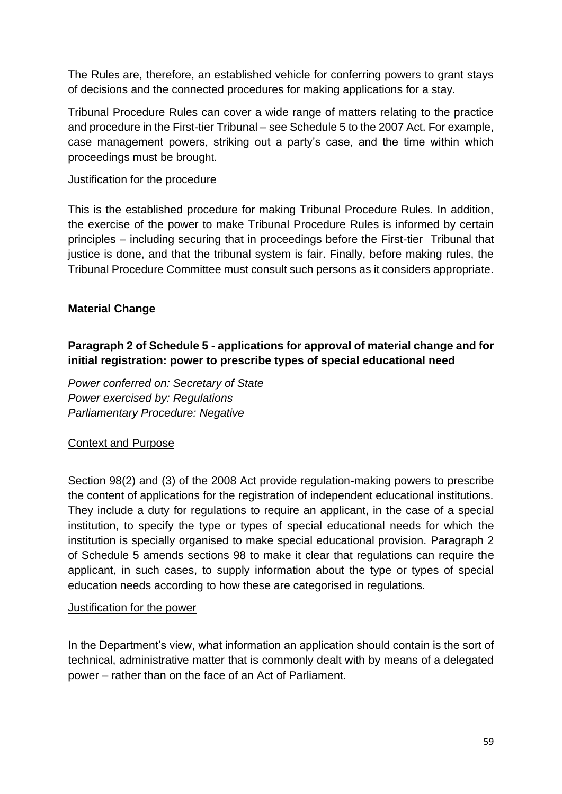The Rules are, therefore, an established vehicle for conferring powers to grant stays of decisions and the connected procedures for making applications for a stay.

Tribunal Procedure Rules can cover a wide range of matters relating to the practice and procedure in the First-tier Tribunal – see Schedule 5 to the 2007 Act. For example, case management powers, striking out a party's case, and the time within which proceedings must be brought.

#### Justification for the procedure

This is the established procedure for making Tribunal Procedure Rules. In addition, the exercise of the power to make Tribunal Procedure Rules is informed by certain principles – including securing that in proceedings before the First-tier Tribunal that justice is done, and that the tribunal system is fair. Finally, before making rules, the Tribunal Procedure Committee must consult such persons as it considers appropriate.

### <span id="page-58-0"></span>**Material Change**

# **Paragraph 2 of Schedule 5 - applications for approval of material change and for initial registration: power to prescribe types of special educational need**

*Power conferred on: Secretary of State Power exercised by: Regulations Parliamentary Procedure: Negative*

#### Context and Purpose

Section 98(2) and (3) of the 2008 Act provide regulation-making powers to prescribe the content of applications for the registration of independent educational institutions. They include a duty for regulations to require an applicant, in the case of a special institution, to specify the type or types of special educational needs for which the institution is specially organised to make special educational provision. Paragraph 2 of Schedule 5 amends sections 98 to make it clear that regulations can require the applicant, in such cases, to supply information about the type or types of special education needs according to how these are categorised in regulations.

#### Justification for the power

In the Department's view, what information an application should contain is the sort of technical, administrative matter that is commonly dealt with by means of a delegated power – rather than on the face of an Act of Parliament.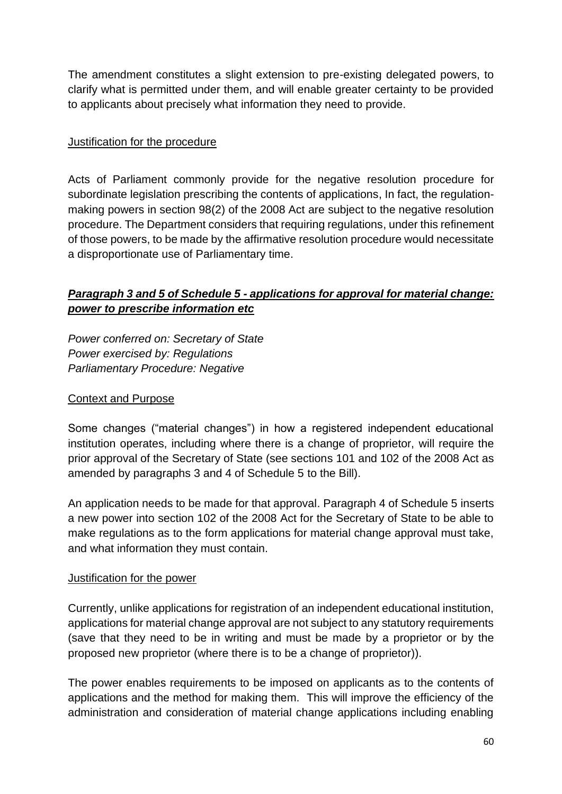The amendment constitutes a slight extension to pre-existing delegated powers, to clarify what is permitted under them, and will enable greater certainty to be provided to applicants about precisely what information they need to provide.

#### Justification for the procedure

Acts of Parliament commonly provide for the negative resolution procedure for subordinate legislation prescribing the contents of applications, In fact, the regulationmaking powers in section 98(2) of the 2008 Act are subject to the negative resolution procedure. The Department considers that requiring regulations, under this refinement of those powers, to be made by the affirmative resolution procedure would necessitate a disproportionate use of Parliamentary time.

# *Paragraph 3 and 5 of Schedule 5 - applications for approval for material change: power to prescribe information etc*

*Power conferred on: Secretary of State Power exercised by: Regulations Parliamentary Procedure: Negative*

#### Context and Purpose

Some changes ("material changes") in how a registered independent educational institution operates, including where there is a change of proprietor, will require the prior approval of the Secretary of State (see sections 101 and 102 of the 2008 Act as amended by paragraphs 3 and 4 of Schedule 5 to the Bill).

An application needs to be made for that approval. Paragraph 4 of Schedule 5 inserts a new power into section 102 of the 2008 Act for the Secretary of State to be able to make regulations as to the form applications for material change approval must take, and what information they must contain.

#### Justification for the power

Currently, unlike applications for registration of an independent educational institution, applications for material change approval are not subject to any statutory requirements (save that they need to be in writing and must be made by a proprietor or by the proposed new proprietor (where there is to be a change of proprietor)).

The power enables requirements to be imposed on applicants as to the contents of applications and the method for making them. This will improve the efficiency of the administration and consideration of material change applications including enabling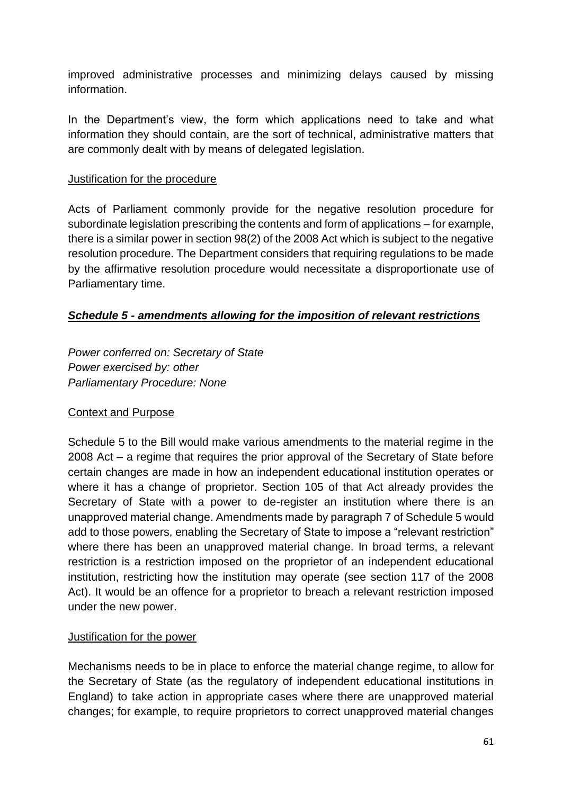improved administrative processes and minimizing delays caused by missing information.

In the Department's view, the form which applications need to take and what information they should contain, are the sort of technical, administrative matters that are commonly dealt with by means of delegated legislation.

#### Justification for the procedure

Acts of Parliament commonly provide for the negative resolution procedure for subordinate legislation prescribing the contents and form of applications – for example, there is a similar power in section 98(2) of the 2008 Act which is subject to the negative resolution procedure. The Department considers that requiring regulations to be made by the affirmative resolution procedure would necessitate a disproportionate use of Parliamentary time.

### *Schedule 5 - amendments allowing for the imposition of relevant restrictions*

*Power conferred on: Secretary of State Power exercised by: other Parliamentary Procedure: None*

### Context and Purpose

Schedule 5 to the Bill would make various amendments to the material regime in the 2008 Act – a regime that requires the prior approval of the Secretary of State before certain changes are made in how an independent educational institution operates or where it has a change of proprietor. Section 105 of that Act already provides the Secretary of State with a power to de-register an institution where there is an unapproved material change. Amendments made by paragraph 7 of Schedule 5 would add to those powers, enabling the Secretary of State to impose a "relevant restriction" where there has been an unapproved material change. In broad terms, a relevant restriction is a restriction imposed on the proprietor of an independent educational institution, restricting how the institution may operate (see section 117 of the 2008 Act). It would be an offence for a proprietor to breach a relevant restriction imposed under the new power.

#### Justification for the power

Mechanisms needs to be in place to enforce the material change regime, to allow for the Secretary of State (as the regulatory of independent educational institutions in England) to take action in appropriate cases where there are unapproved material changes; for example, to require proprietors to correct unapproved material changes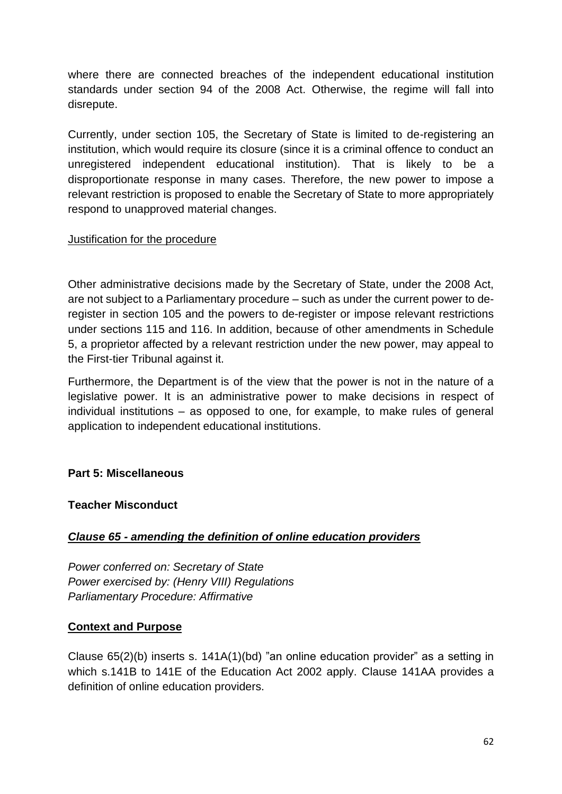where there are connected breaches of the independent educational institution standards under section 94 of the 2008 Act. Otherwise, the regime will fall into disrepute.

Currently, under section 105, the Secretary of State is limited to de-registering an institution, which would require its closure (since it is a criminal offence to conduct an unregistered independent educational institution). That is likely to be a disproportionate response in many cases. Therefore, the new power to impose a relevant restriction is proposed to enable the Secretary of State to more appropriately respond to unapproved material changes.

#### Justification for the procedure

Other administrative decisions made by the Secretary of State, under the 2008 Act, are not subject to a Parliamentary procedure – such as under the current power to deregister in section 105 and the powers to de-register or impose relevant restrictions under sections 115 and 116. In addition, because of other amendments in Schedule 5, a proprietor affected by a relevant restriction under the new power, may appeal to the First-tier Tribunal against it.

Furthermore, the Department is of the view that the power is not in the nature of a legislative power. It is an administrative power to make decisions in respect of individual institutions – as opposed to one, for example, to make rules of general application to independent educational institutions.

### <span id="page-61-0"></span>**Part 5: Miscellaneous**

### <span id="page-61-1"></span>**Teacher Misconduct**

### *Clause 65 - amending the definition of online education providers*

*Power conferred on: Secretary of State Power exercised by: (Henry VIII) Regulations Parliamentary Procedure: Affirmative*

#### **Context and Purpose**

Clause 65(2)(b) inserts s. 141A(1)(bd) "an online education provider" as a setting in which s.141B to 141E of the Education Act 2002 apply. Clause 141AA provides a definition of online education providers.